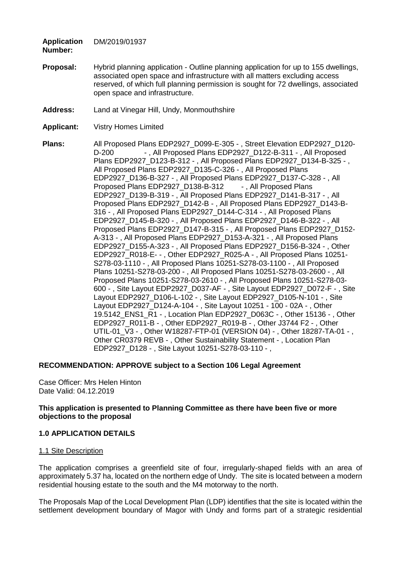**Application**  DM/2019/01937

**Number:**

- **Proposal:** Hybrid planning application Outline planning application for up to 155 dwellings, associated open space and infrastructure with all matters excluding access reserved, of which full planning permission is sought for 72 dwellings, associated open space and infrastructure.
- **Address:** Land at Vinegar Hill, Undy, Monmouthshire
- **Applicant:** Vistry Homes Limited

**Plans:** All Proposed Plans EDP2927\_D099-E-305 - , Street Elevation EDP2927\_D120- D-200 - , All Proposed Plans EDP2927\_D122-B-311 - , All Proposed Plans EDP2927\_D123-B-312 - , All Proposed Plans EDP2927\_D134-B-325 - , All Proposed Plans EDP2927\_D135-C-326 - , All Proposed Plans EDP2927\_D136-B-327 - , All Proposed Plans EDP2927\_D137-C-328 - , All Proposed Plans EDP2927\_D138-B-312 -, All Proposed Plans EDP2927\_D139-B-319 - , All Proposed Plans EDP2927\_D141-B-317 - , All Proposed Plans EDP2927\_D142-B - , All Proposed Plans EDP2927\_D143-B-316 - , All Proposed Plans EDP2927\_D144-C-314 - , All Proposed Plans EDP2927\_D145-B-320 - , All Proposed Plans EDP2927\_D146-B-322 - , All Proposed Plans EDP2927\_D147-B-315 - , All Proposed Plans EDP2927\_D152- A-313 - , All Proposed Plans EDP2927\_D153-A-321 - , All Proposed Plans EDP2927\_D155-A-323 - , All Proposed Plans EDP2927\_D156-B-324 - , Other EDP2927\_R018-E- - , Other EDP2927\_R025-A - , All Proposed Plans 10251- S278-03-1110 - , All Proposed Plans 10251-S278-03-1100 - , All Proposed Plans 10251-S278-03-200 - , All Proposed Plans 10251-S278-03-2600 - , All Proposed Plans 10251-S278-03-2610 - , All Proposed Plans 10251-S278-03- 600 - , Site Layout EDP2927\_D037-AF - , Site Layout EDP2927\_D072-F - , Site Layout EDP2927\_D106-L-102 - , Site Layout EDP2927\_D105-N-101 - , Site Layout EDP2927\_D124-A-104 - , Site Layout 10251 - 100 - 02A - , Other 19.5142\_ENS1\_R1 - , Location Plan EDP2927\_D063C - , Other 15136 - , Other EDP2927\_R011-B - , Other EDP2927\_R019-B - , Other J3744 F2 - , Other UTIL-01 V3 - , Other W18287-FTP-01 (VERSION 04) - , Other 18287-TA-01 - , Other CR0379 REVB - , Other Sustainability Statement - , Location Plan EDP2927\_D128 - , Site Layout 10251-S278-03-110 - ,

### **RECOMMENDATION: APPROVE subject to a Section 106 Legal Agreement**

Case Officer: Mrs Helen Hinton Date Valid: 04.12.2019

### **This application is presented to Planning Committee as there have been five or more objections to the proposal**

### **1.0 APPLICATION DETAILS**

#### 1.1 Site Description

The application comprises a greenfield site of four, irregularly-shaped fields with an area of approximately 5.37 ha, located on the northern edge of Undy. The site is located between a modern residential housing estate to the south and the M4 motorway to the north.

The Proposals Map of the Local Development Plan (LDP) identifies that the site is located within the settlement development boundary of Magor with Undy and forms part of a strategic residential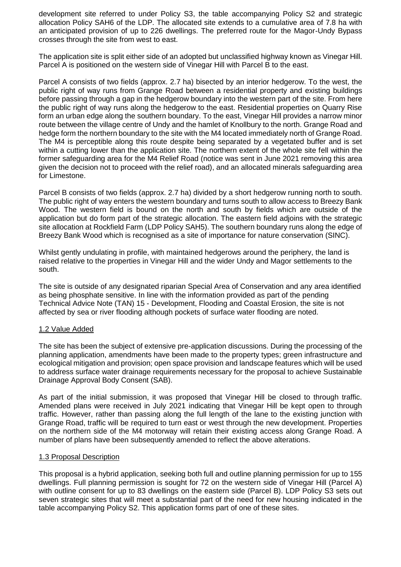development site referred to under Policy S3, the table accompanying Policy S2 and strategic allocation Policy SAH6 of the LDP. The allocated site extends to a cumulative area of 7.8 ha with an anticipated provision of up to 226 dwellings. The preferred route for the Magor-Undy Bypass crosses through the site from west to east.

The application site is split either side of an adopted but unclassified highway known as Vinegar Hill. Parcel A is positioned on the western side of Vinegar Hill with Parcel B to the east.

Parcel A consists of two fields (approx. 2.7 ha) bisected by an interior hedgerow. To the west, the public right of way runs from Grange Road between a residential property and existing buildings before passing through a gap in the hedgerow boundary into the western part of the site. From here the public right of way runs along the hedgerow to the east. Residential properties on Quarry Rise form an urban edge along the southern boundary. To the east, Vinegar Hill provides a narrow minor route between the village centre of Undy and the hamlet of Knollbury to the north. Grange Road and hedge form the northern boundary to the site with the M4 located immediately north of Grange Road. The M4 is perceptible along this route despite being separated by a vegetated buffer and is set within a cutting lower than the application site. The northern extent of the whole site fell within the former safeguarding area for the M4 Relief Road (notice was sent in June 2021 removing this area given the decision not to proceed with the relief road), and an allocated minerals safeguarding area for Limestone.

Parcel B consists of two fields (approx. 2.7 ha) divided by a short hedgerow running north to south. The public right of way enters the western boundary and turns south to allow access to Breezy Bank Wood. The western field is bound on the north and south by fields which are outside of the application but do form part of the strategic allocation. The eastern field adjoins with the strategic site allocation at Rockfield Farm (LDP Policy SAH5). The southern boundary runs along the edge of Breezy Bank Wood which is recognised as a site of importance for nature conservation (SINC).

Whilst gently undulating in profile, with maintained hedgerows around the periphery, the land is raised relative to the properties in Vinegar Hill and the wider Undy and Magor settlements to the south.

The site is outside of any designated riparian Special Area of Conservation and any area identified as being phosphate sensitive. In line with the information provided as part of the pending Technical Advice Note (TAN) 15 - Development, Flooding and Coastal Erosion, the site is not affected by sea or river flooding although pockets of surface water flooding are noted.

### 1.2 Value Added

The site has been the subject of extensive pre-application discussions. During the processing of the planning application, amendments have been made to the property types; green infrastructure and ecological mitigation and provision; open space provision and landscape features which will be used to address surface water drainage requirements necessary for the proposal to achieve Sustainable Drainage Approval Body Consent (SAB).

As part of the initial submission, it was proposed that Vinegar Hill be closed to through traffic. Amended plans were received in July 2021 indicating that Vinegar Hill be kept open to through traffic. However, rather than passing along the full length of the lane to the existing junction with Grange Road, traffic will be required to turn east or west through the new development. Properties on the northern side of the M4 motorway will retain their existing access along Grange Road. A number of plans have been subsequently amended to reflect the above alterations.

#### 1.3 Proposal Description

This proposal is a hybrid application, seeking both full and outline planning permission for up to 155 dwellings. Full planning permission is sought for 72 on the western side of Vinegar Hill (Parcel A) with outline consent for up to 83 dwellings on the eastern side (Parcel B). LDP Policy S3 sets out seven strategic sites that will meet a substantial part of the need for new housing indicated in the table accompanying Policy S2. This application forms part of one of these sites.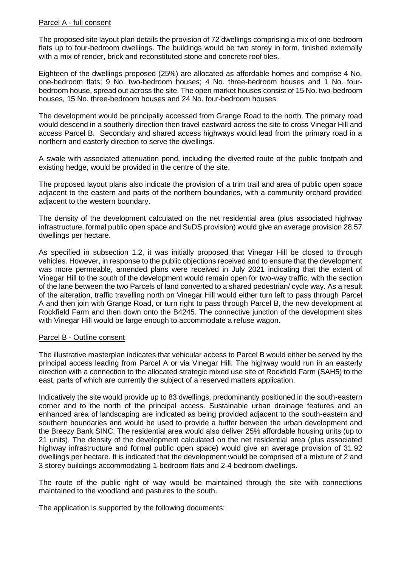### Parcel A - full consent

The proposed site layout plan details the provision of 72 dwellings comprising a mix of one-bedroom flats up to four-bedroom dwellings. The buildings would be two storey in form, finished externally with a mix of render, brick and reconstituted stone and concrete roof tiles.

Eighteen of the dwellings proposed (25%) are allocated as affordable homes and comprise 4 No. one-bedroom flats; 9 No. two-bedroom houses; 4 No. three-bedroom houses and 1 No. fourbedroom house, spread out across the site. The open market houses consist of 15 No. two-bedroom houses, 15 No. three-bedroom houses and 24 No. four-bedroom houses.

The development would be principally accessed from Grange Road to the north. The primary road would descend in a southerly direction then travel eastward across the site to cross Vinegar Hill and access Parcel B. Secondary and shared access highways would lead from the primary road in a northern and easterly direction to serve the dwellings.

A swale with associated attenuation pond, including the diverted route of the public footpath and existing hedge, would be provided in the centre of the site.

The proposed layout plans also indicate the provision of a trim trail and area of public open space adjacent to the eastern and parts of the northern boundaries, with a community orchard provided adjacent to the western boundary.

The density of the development calculated on the net residential area (plus associated highway infrastructure, formal public open space and SuDS provision) would give an average provision 28.57 dwellings per hectare.

As specified in subsection 1.2, it was initially proposed that Vinegar Hill be closed to through vehicles. However, in response to the public objections received and to ensure that the development was more permeable, amended plans were received in July 2021 indicating that the extent of Vinegar Hill to the south of the development would remain open for two-way traffic, with the section of the lane between the two Parcels of land converted to a shared pedestrian/ cycle way. As a result of the alteration, traffic travelling north on Vinegar Hill would either turn left to pass through Parcel A and then join with Grange Road, or turn right to pass through Parcel B, the new development at Rockfield Farm and then down onto the B4245. The connective junction of the development sites with Vinegar Hill would be large enough to accommodate a refuse wagon.

#### Parcel B - Outline consent

The illustrative masterplan indicates that vehicular access to Parcel B would either be served by the principal access leading from Parcel A or via Vinegar Hill. The highway would run in an easterly direction with a connection to the allocated strategic mixed use site of Rockfield Farm (SAH5) to the east, parts of which are currently the subject of a reserved matters application.

Indicatively the site would provide up to 83 dwellings, predominantly positioned in the south-eastern corner and to the north of the principal access. Sustainable urban drainage features and an enhanced area of landscaping are indicated as being provided adjacent to the south-eastern and southern boundaries and would be used to provide a buffer between the urban development and the Breezy Bank SINC. The residential area would also deliver 25% affordable housing units (up to 21 units). The density of the development calculated on the net residential area (plus associated highway infrastructure and formal public open space) would give an average provision of 31.92 dwellings per hectare. It is indicated that the development would be comprised of a mixture of 2 and 3 storey buildings accommodating 1-bedroom flats and 2-4 bedroom dwellings.

The route of the public right of way would be maintained through the site with connections maintained to the woodland and pastures to the south.

The application is supported by the following documents: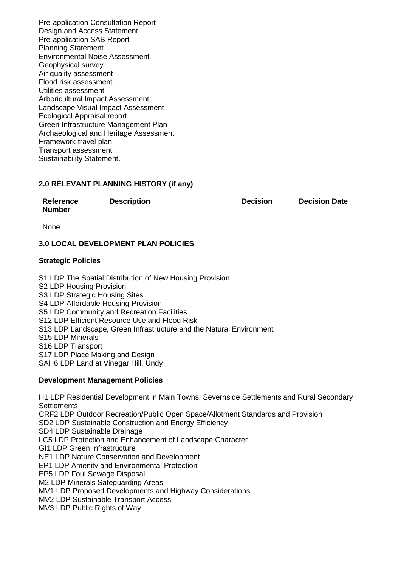Pre-application Consultation Report Design and Access Statement Pre-application SAB Report Planning Statement Environmental Noise Assessment Geophysical survey Air quality assessment Flood risk assessment Utilities assessment Arboricultural Impact Assessment Landscape Visual Impact Assessment Ecological Appraisal report Green Infrastructure Management Plan Archaeological and Heritage Assessment Framework travel plan Transport assessment Sustainability Statement.

### **2.0 RELEVANT PLANNING HISTORY (if any)**

**Reference Number**

**Description Decision Decision Date**

None

### **3.0 LOCAL DEVELOPMENT PLAN POLICIES**

#### **Strategic Policies**

S1 LDP The Spatial Distribution of New Housing Provision S2 LDP Housing Provision S3 LDP Strategic Housing Sites S4 LDP Affordable Housing Provision S5 LDP Community and Recreation Facilities S12 LDP Efficient Resource Use and Flood Risk S13 LDP Landscape, Green Infrastructure and the Natural Environment S15 LDP Minerals S16 LDP Transport S17 LDP Place Making and Design SAH6 LDP Land at Vinegar Hill, Undy

#### **Development Management Policies**

H1 LDP Residential Development in Main Towns, Severnside Settlements and Rural Secondary **Settlements** CRF2 LDP Outdoor Recreation/Public Open Space/Allotment Standards and Provision SD2 LDP Sustainable Construction and Energy Efficiency SD4 LDP Sustainable Drainage LC5 LDP Protection and Enhancement of Landscape Character GI1 LDP Green Infrastructure NE1 LDP Nature Conservation and Development EP1 LDP Amenity and Environmental Protection EP5 LDP Foul Sewage Disposal M2 LDP Minerals Safeguarding Areas MV1 LDP Proposed Developments and Highway Considerations MV2 LDP Sustainable Transport Access

MV3 LDP Public Rights of Way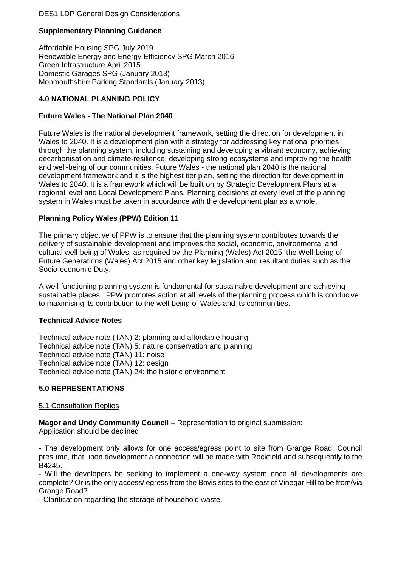## DES1 LDP General Design Considerations

# **Supplementary Planning Guidance**

Affordable Housing SPG July 2019 Renewable Energy and Energy Efficiency SPG March 2016 Green Infrastructure April 2015 Domestic Garages SPG (January 2013) Monmouthshire Parking Standards (January 2013)

## **4.0 NATIONAL PLANNING POLICY**

## **Future Wales - The National Plan 2040**

Future Wales is the national development framework, setting the direction for development in Wales to 2040. It is a development plan with a strategy for addressing key national priorities through the planning system, including sustaining and developing a vibrant economy, achieving decarbonisation and climate-resilience, developing strong ecosystems and improving the health and well-being of our communities. Future Wales - the national plan 2040 is the national development framework and it is the highest tier plan, setting the direction for development in Wales to 2040. It is a framework which will be built on by Strategic Development Plans at a regional level and Local Development Plans. Planning decisions at every level of the planning system in Wales must be taken in accordance with the development plan as a whole.

## **Planning Policy Wales (PPW) Edition 11**

The primary objective of PPW is to ensure that the planning system contributes towards the delivery of sustainable development and improves the social, economic, environmental and cultural well-being of Wales, as required by the Planning (Wales) Act 2015, the Well-being of Future Generations (Wales) Act 2015 and other key legislation and resultant duties such as the Socio-economic Duty.

A well-functioning planning system is fundamental for sustainable development and achieving sustainable places. PPW promotes action at all levels of the planning process which is conducive to maximising its contribution to the well-being of Wales and its communities.

### **Technical Advice Notes**

Technical advice note (TAN) 2: planning and affordable housing Technical advice note (TAN) 5: nature conservation and planning Technical advice note (TAN) 11: noise Technical advice note (TAN) 12: design Technical advice note (TAN) 24: the historic environment

## **5.0 REPRESENTATIONS**

### 5.1 Consultation Replies

**Magor and Undy Community Council** – Representation to original submission: Application should be declined

- The development only allows for one access/egress point to site from Grange Road. Council presume, that upon development a connection will be made with Rockfield and subsequently to the B4245.

- Will the developers be seeking to implement a one-way system once all developments are complete? Or is the only access/ egress from the Bovis sites to the east of Vinegar Hill to be from/via Grange Road?

- Clarification regarding the storage of household waste.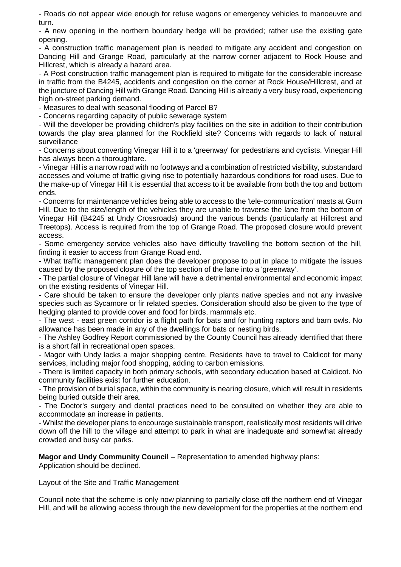- Roads do not appear wide enough for refuse wagons or emergency vehicles to manoeuvre and turn.

- A new opening in the northern boundary hedge will be provided; rather use the existing gate opening.

- A construction traffic management plan is needed to mitigate any accident and congestion on Dancing Hill and Grange Road, particularly at the narrow corner adjacent to Rock House and Hillcrest, which is already a hazard area.

- A Post construction traffic management plan is required to mitigate for the considerable increase in traffic from the B4245, accidents and congestion on the corner at Rock House/Hillcrest, and at the juncture of Dancing Hill with Grange Road. Dancing Hill is already a very busy road, experiencing high on-street parking demand.

- Measures to deal with seasonal flooding of Parcel B?

- Concerns regarding capacity of public sewerage system

- Will the developer be providing children's play facilities on the site in addition to their contribution towards the play area planned for the Rockfield site? Concerns with regards to lack of natural surveillance

- Concerns about converting Vinegar Hill it to a 'greenway' for pedestrians and cyclists. Vinegar Hill has always been a thoroughfare.

- Vinegar Hill is a narrow road with no footways and a combination of restricted visibility, substandard accesses and volume of traffic giving rise to potentially hazardous conditions for road uses. Due to the make-up of Vinegar Hill it is essential that access to it be available from both the top and bottom ends.

- Concerns for maintenance vehicles being able to access to the 'tele-communication' masts at Gurn Hill. Due to the size/length of the vehicles they are unable to traverse the lane from the bottom of Vinegar Hill (B4245 at Undy Crossroads) around the various bends (particularly at Hillcrest and Treetops). Access is required from the top of Grange Road. The proposed closure would prevent access.

- Some emergency service vehicles also have difficulty travelling the bottom section of the hill, finding it easier to access from Grange Road end.

- What traffic management plan does the developer propose to put in place to mitigate the issues caused by the proposed closure of the top section of the lane into a 'greenway'.

- The partial closure of Vinegar Hill lane will have a detrimental environmental and economic impact on the existing residents of Vinegar Hill.

- Care should be taken to ensure the developer only plants native species and not any invasive species such as Sycamore or fir related species. Consideration should also be given to the type of hedging planted to provide cover and food for birds, mammals etc.

- The west - east green corridor is a flight path for bats and for hunting raptors and barn owls. No allowance has been made in any of the dwellings for bats or nesting birds.

- The Ashley Godfrey Report commissioned by the County Council has already identified that there is a short fall in recreational open spaces.

- Magor with Undy lacks a major shopping centre. Residents have to travel to Caldicot for many services, including major food shopping, adding to carbon emissions.

- There is limited capacity in both primary schools, with secondary education based at Caldicot. No community facilities exist for further education.

- The provision of burial space, within the community is nearing closure, which will result in residents being buried outside their area.

- The Doctor's surgery and dental practices need to be consulted on whether they are able to accommodate an increase in patients.

- Whilst the developer plans to encourage sustainable transport, realistically most residents will drive down off the hill to the village and attempt to park in what are inadequate and somewhat already crowded and busy car parks.

**Magor and Undy Community Council** – Representation to amended highway plans:

Application should be declined.

Layout of the Site and Traffic Management

Council note that the scheme is only now planning to partially close off the northern end of Vinegar Hill, and will be allowing access through the new development for the properties at the northern end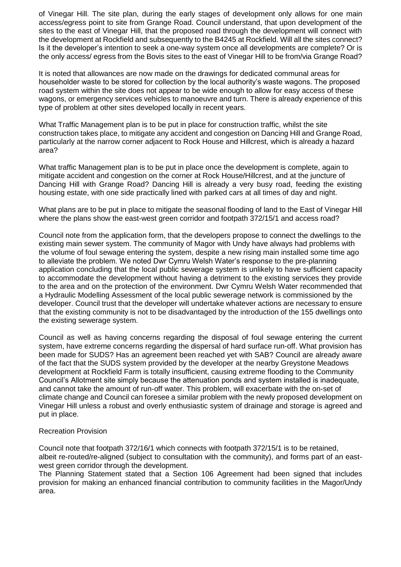of Vinegar Hill. The site plan, during the early stages of development only allows for one main access/egress point to site from Grange Road. Council understand, that upon development of the sites to the east of Vinegar Hill, that the proposed road through the development will connect with the development at Rockfield and subsequently to the B4245 at Rockfield. Will all the sites connect? Is it the developer's intention to seek a one-way system once all developments are complete? Or is the only access/ egress from the Bovis sites to the east of Vinegar Hill to be from/via Grange Road?

It is noted that allowances are now made on the drawings for dedicated communal areas for householder waste to be stored for collection by the local authority's waste wagons. The proposed road system within the site does not appear to be wide enough to allow for easy access of these wagons, or emergency services vehicles to manoeuvre and turn. There is already experience of this type of problem at other sites developed locally in recent years.

What Traffic Management plan is to be put in place for construction traffic, whilst the site construction takes place, to mitigate any accident and congestion on Dancing Hill and Grange Road, particularly at the narrow corner adjacent to Rock House and Hillcrest, which is already a hazard area?

What traffic Management plan is to be put in place once the development is complete, again to mitigate accident and congestion on the corner at Rock House/Hillcrest, and at the juncture of Dancing Hill with Grange Road? Dancing Hill is already a very busy road, feeding the existing housing estate, with one side practically lined with parked cars at all times of day and night.

What plans are to be put in place to mitigate the seasonal flooding of land to the East of Vinegar Hill where the plans show the east-west green corridor and footpath 372/15/1 and access road?

Council note from the application form, that the developers propose to connect the dwellings to the existing main sewer system. The community of Magor with Undy have always had problems with the volume of foul sewage entering the system, despite a new rising main installed some time ago to alleviate the problem. We noted Dwr Cymru Welsh Water's response to the pre-planning application concluding that the local public sewerage system is unlikely to have sufficient capacity to accommodate the development without having a detriment to the existing services they provide to the area and on the protection of the environment. Dwr Cymru Welsh Water recommended that a Hydraulic Modelling Assessment of the local public sewerage network is commissioned by the developer. Council trust that the developer will undertake whatever actions are necessary to ensure that the existing community is not to be disadvantaged by the introduction of the 155 dwellings onto the existing sewerage system.

Council as well as having concerns regarding the disposal of foul sewage entering the current system, have extreme concerns regarding the dispersal of hard surface run-off. What provision has been made for SUDS? Has an agreement been reached yet with SAB? Council are already aware of the fact that the SUDS system provided by the developer at the nearby Greystone Meadows development at Rockfield Farm is totally insufficient, causing extreme flooding to the Community Council's Allotment site simply because the attenuation ponds and system installed is inadequate, and cannot take the amount of run-off water. This problem, will exacerbate with the on-set of climate change and Council can foresee a similar problem with the newly proposed development on Vinegar Hill unless a robust and overly enthusiastic system of drainage and storage is agreed and put in place.

### Recreation Provision

Council note that footpath 372/16/1 which connects with footpath 372/15/1 is to be retained, albeit re-routed/re-aligned (subject to consultation with the community), and forms part of an eastwest green corridor through the development.

The Planning Statement stated that a Section 106 Agreement had been signed that includes provision for making an enhanced financial contribution to community facilities in the Magor/Undy area.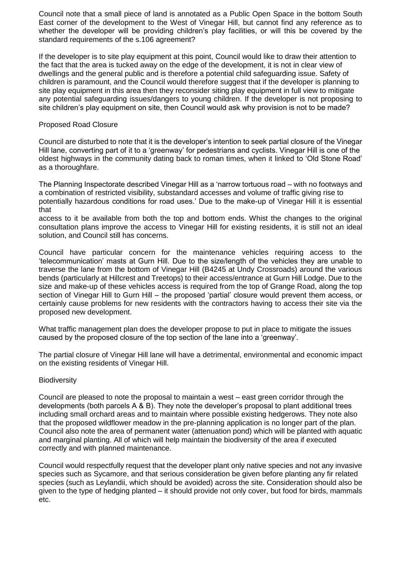Council note that a small piece of land is annotated as a Public Open Space in the bottom South East corner of the development to the West of Vinegar Hill, but cannot find any reference as to whether the developer will be providing children's play facilities, or will this be covered by the standard requirements of the s.106 agreement?

If the developer is to site play equipment at this point, Council would like to draw their attention to the fact that the area is tucked away on the edge of the development, it is not in clear view of dwellings and the general public and is therefore a potential child safeguarding issue. Safety of children is paramount, and the Council would therefore suggest that if the developer is planning to site play equipment in this area then they reconsider siting play equipment in full view to mitigate any potential safeguarding issues/dangers to young children. If the developer is not proposing to site children's play equipment on site, then Council would ask why provision is not to be made?

### Proposed Road Closure

Council are disturbed to note that it is the developer's intention to seek partial closure of the Vinegar Hill lane, converting part of it to a 'greenway' for pedestrians and cyclists. Vinegar Hill is one of the oldest highways in the community dating back to roman times, when it linked to 'Old Stone Road' as a thoroughfare.

The Planning Inspectorate described Vinegar Hill as a 'narrow tortuous road – with no footways and a combination of restricted visibility, substandard accesses and volume of traffic giving rise to potentially hazardous conditions for road uses.' Due to the make-up of Vinegar Hill it is essential that

access to it be available from both the top and bottom ends. Whist the changes to the original consultation plans improve the access to Vinegar Hill for existing residents, it is still not an ideal solution, and Council still has concerns.

Council have particular concern for the maintenance vehicles requiring access to the 'telecommunication' masts at Gurn Hill. Due to the size/length of the vehicles they are unable to traverse the lane from the bottom of Vinegar Hill (B4245 at Undy Crossroads) around the various bends (particularly at Hillcrest and Treetops) to their access/entrance at Gurn Hill Lodge. Due to the size and make-up of these vehicles access is required from the top of Grange Road, along the top section of Vinegar Hill to Gurn Hill – the proposed 'partial' closure would prevent them access, or certainly cause problems for new residents with the contractors having to access their site via the proposed new development.

What traffic management plan does the developer propose to put in place to mitigate the issues caused by the proposed closure of the top section of the lane into a 'greenway'.

The partial closure of Vinegar Hill lane will have a detrimental, environmental and economic impact on the existing residents of Vinegar Hill.

#### **Biodiversity**

Council are pleased to note the proposal to maintain a west – east green corridor through the developments (both parcels A & B). They note the developer's proposal to plant additional trees including small orchard areas and to maintain where possible existing hedgerows. They note also that the proposed wildflower meadow in the pre-planning application is no longer part of the plan. Council also note the area of permanent water (attenuation pond) which will be planted with aquatic and marginal planting. All of which will help maintain the biodiversity of the area if executed correctly and with planned maintenance.

Council would respectfully request that the developer plant only native species and not any invasive species such as Sycamore, and that serious consideration be given before planting any fir related species (such as Leylandii, which should be avoided) across the site. Consideration should also be given to the type of hedging planted – it should provide not only cover, but food for birds, mammals etc.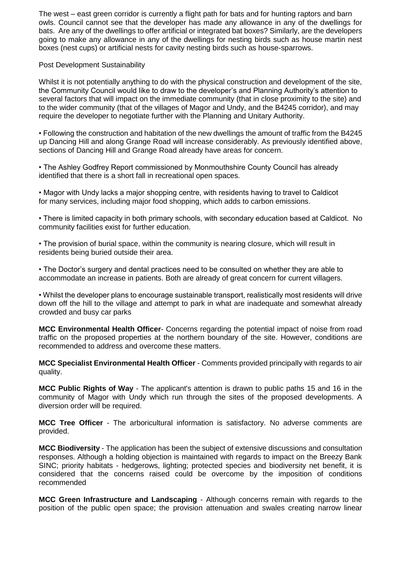The west – east green corridor is currently a flight path for bats and for hunting raptors and barn owls. Council cannot see that the developer has made any allowance in any of the dwellings for bats. Are any of the dwellings to offer artificial or integrated bat boxes? Similarly, are the developers going to make any allowance in any of the dwellings for nesting birds such as house martin nest boxes (nest cups) or artificial nests for cavity nesting birds such as house-sparrows.

### Post Development Sustainability

Whilst it is not potentially anything to do with the physical construction and development of the site, the Community Council would like to draw to the developer's and Planning Authority's attention to several factors that will impact on the immediate community (that in close proximity to the site) and to the wider community (that of the villages of Magor and Undy, and the B4245 corridor), and may require the developer to negotiate further with the Planning and Unitary Authority.

• Following the construction and habitation of the new dwellings the amount of traffic from the B4245 up Dancing Hill and along Grange Road will increase considerably. As previously identified above, sections of Dancing Hill and Grange Road already have areas for concern.

• The Ashley Godfrey Report commissioned by Monmouthshire County Council has already identified that there is a short fall in recreational open spaces.

• Magor with Undy lacks a major shopping centre, with residents having to travel to Caldicot for many services, including major food shopping, which adds to carbon emissions.

• There is limited capacity in both primary schools, with secondary education based at Caldicot. No community facilities exist for further education.

• The provision of burial space, within the community is nearing closure, which will result in residents being buried outside their area.

• The Doctor's surgery and dental practices need to be consulted on whether they are able to accommodate an increase in patients. Both are already of great concern for current villagers.

• Whilst the developer plans to encourage sustainable transport, realistically most residents will drive down off the hill to the village and attempt to park in what are inadequate and somewhat already crowded and busy car parks

**MCC Environmental Health Officer**- Concerns regarding the potential impact of noise from road traffic on the proposed properties at the northern boundary of the site. However, conditions are recommended to address and overcome these matters.

**MCC Specialist Environmental Health Officer** - Comments provided principally with regards to air quality.

**MCC Public Rights of Way** - The applicant's attention is drawn to public paths 15 and 16 in the community of Magor with Undy which run through the sites of the proposed developments. A diversion order will be required.

**MCC Tree Officer** - The arboricultural information is satisfactory. No adverse comments are provided.

**MCC Biodiversity** - The application has been the subject of extensive discussions and consultation responses. Although a holding objection is maintained with regards to impact on the Breezy Bank SINC; priority habitats - hedgerows, lighting; protected species and biodiversity net benefit, it is considered that the concerns raised could be overcome by the imposition of conditions recommended

**MCC Green Infrastructure and Landscaping** - Although concerns remain with regards to the position of the public open space; the provision attenuation and swales creating narrow linear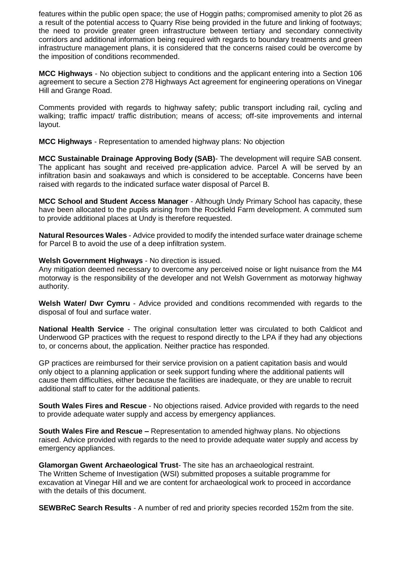features within the public open space; the use of Hoggin paths; compromised amenity to plot 26 as a result of the potential access to Quarry Rise being provided in the future and linking of footways; the need to provide greater green infrastructure between tertiary and secondary connectivity corridors and additional information being required with regards to boundary treatments and green infrastructure management plans, it is considered that the concerns raised could be overcome by the imposition of conditions recommended.

**MCC Highways** - No objection subject to conditions and the applicant entering into a Section 106 agreement to secure a Section 278 Highways Act agreement for engineering operations on Vinegar Hill and Grange Road.

Comments provided with regards to highway safety; public transport including rail, cycling and walking; traffic impact/ traffic distribution; means of access; off-site improvements and internal layout.

**MCC Highways** - Representation to amended highway plans: No objection

**MCC Sustainable Drainage Approving Body (SAB)**- The development will require SAB consent. The applicant has sought and received pre-application advice. Parcel A will be served by an infiltration basin and soakaways and which is considered to be acceptable. Concerns have been raised with regards to the indicated surface water disposal of Parcel B.

**MCC School and Student Access Manager** - Although Undy Primary School has capacity, these have been allocated to the pupils arising from the Rockfield Farm development. A commuted sum to provide additional places at Undy is therefore requested.

**Natural Resources Wales** - Advice provided to modify the intended surface water drainage scheme for Parcel B to avoid the use of a deep infiltration system.

**Welsh Government Highways** - No direction is issued.

Any mitigation deemed necessary to overcome any perceived noise or light nuisance from the M4 motorway is the responsibility of the developer and not Welsh Government as motorway highway authority.

**Welsh Water/ Dwr Cymru** - Advice provided and conditions recommended with regards to the disposal of foul and surface water.

**National Health Service** - The original consultation letter was circulated to both Caldicot and Underwood GP practices with the request to respond directly to the LPA if they had any objections to, or concerns about, the application. Neither practice has responded.

GP practices are reimbursed for their service provision on a patient capitation basis and would only object to a planning application or seek support funding where the additional patients will cause them difficulties, either because the facilities are inadequate, or they are unable to recruit additional staff to cater for the additional patients.

**South Wales Fires and Rescue** - No objections raised. Advice provided with regards to the need to provide adequate water supply and access by emergency appliances.

**South Wales Fire and Rescue –** Representation to amended highway plans. No objections raised. Advice provided with regards to the need to provide adequate water supply and access by emergency appliances.

**Glamorgan Gwent Archaeological Trust**- The site has an archaeological restraint. The Written Scheme of Investigation (WSI) submitted proposes a suitable programme for excavation at Vinegar Hill and we are content for archaeological work to proceed in accordance with the details of this document.

**SEWBReC Search Results** - A number of red and priority species recorded 152m from the site.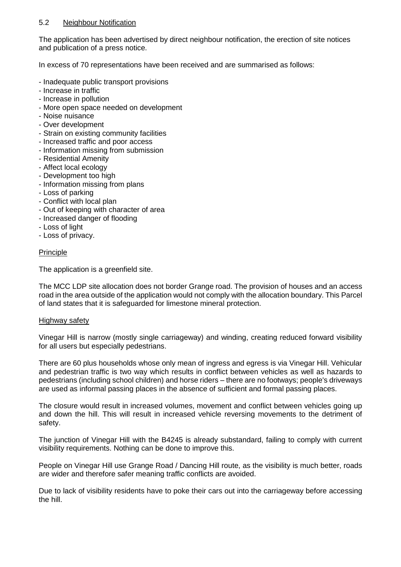### 5.2 Neighbour Notification

The application has been advertised by direct neighbour notification, the erection of site notices and publication of a press notice.

In excess of 70 representations have been received and are summarised as follows:

- Inadequate public transport provisions
- Increase in traffic
- Increase in pollution
- More open space needed on development
- Noise nuisance
- Over development
- Strain on existing community facilities
- Increased traffic and poor access
- Information missing from submission
- Residential Amenity
- Affect local ecology
- Development too high
- Information missing from plans
- Loss of parking
- Conflict with local plan
- Out of keeping with character of area
- Increased danger of flooding
- Loss of light
- Loss of privacy.

### Principle

The application is a greenfield site.

The MCC LDP site allocation does not border Grange road. The provision of houses and an access road in the area outside of the application would not comply with the allocation boundary. This Parcel of land states that it is safeguarded for limestone mineral protection.

#### Highway safety

Vinegar Hill is narrow (mostly single carriageway) and winding, creating reduced forward visibility for all users but especially pedestrians.

There are 60 plus households whose only mean of ingress and egress is via Vinegar Hill. Vehicular and pedestrian traffic is two way which results in conflict between vehicles as well as hazards to pedestrians (including school children) and horse riders – there are no footways; people's driveways are used as informal passing places in the absence of sufficient and formal passing places.

The closure would result in increased volumes, movement and conflict between vehicles going up and down the hill. This will result in increased vehicle reversing movements to the detriment of safety.

The junction of Vinegar Hill with the B4245 is already substandard, failing to comply with current visibility requirements. Nothing can be done to improve this.

People on Vinegar Hill use Grange Road / Dancing Hill route, as the visibility is much better, roads are wider and therefore safer meaning traffic conflicts are avoided.

Due to lack of visibility residents have to poke their cars out into the carriageway before accessing the hill.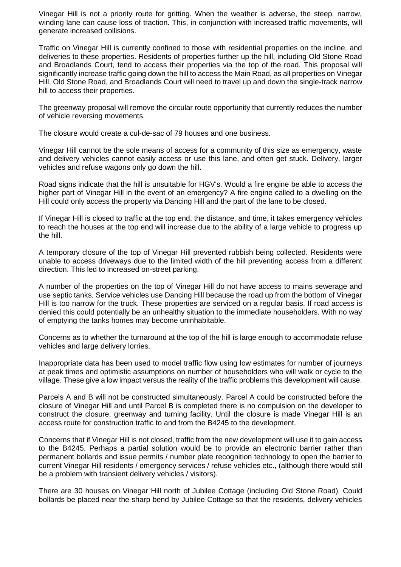Vinegar Hill is not a priority route for gritting. When the weather is adverse, the steep, narrow, winding lane can cause loss of traction. This, in conjunction with increased traffic movements, will generate increased collisions.

Traffic on Vinegar Hill is currently confined to those with residential properties on the incline, and deliveries to these properties. Residents of properties further up the hill, including Old Stone Road and Broadlands Court, tend to access their properties via the top of the road. This proposal will significantly increase traffic going down the hill to access the Main Road, as all properties on Vinegar Hill, Old Stone Road, and Broadlands Court will need to travel up and down the single-track narrow hill to access their properties.

The greenway proposal will remove the circular route opportunity that currently reduces the number of vehicle reversing movements.

The closure would create a cul-de-sac of 79 houses and one business.

Vinegar Hill cannot be the sole means of access for a community of this size as emergency, waste and delivery vehicles cannot easily access or use this lane, and often get stuck. Delivery, larger vehicles and refuse wagons only go down the hill.

Road signs indicate that the hill is unsuitable for HGV's. Would a fire engine be able to access the higher part of Vinegar Hill in the event of an emergency? A fire engine called to a dwelling on the Hill could only access the property via Dancing Hill and the part of the lane to be closed.

If Vinegar Hill is closed to traffic at the top end, the distance, and time, it takes emergency vehicles to reach the houses at the top end will increase due to the ability of a large vehicle to progress up the hill.

A temporary closure of the top of Vinegar Hill prevented rubbish being collected. Residents were unable to access driveways due to the limited width of the hill preventing access from a different direction. This led to increased on-street parking.

A number of the properties on the top of Vinegar Hill do not have access to mains sewerage and use septic tanks. Service vehicles use Dancing Hill because the road up from the bottom of Vinegar Hill is too narrow for the truck. These properties are serviced on a regular basis. If road access is denied this could potentially be an unhealthy situation to the immediate householders. With no way of emptying the tanks homes may become uninhabitable.

Concerns as to whether the turnaround at the top of the hill is large enough to accommodate refuse vehicles and large delivery lorries.

Inappropriate data has been used to model traffic flow using low estimates for number of journeys at peak times and optimistic assumptions on number of householders who will walk or cycle to the village. These give a low impact versus the reality of the traffic problems this development will cause.

Parcels A and B will not be constructed simultaneously. Parcel A could be constructed before the closure of Vinegar Hill and until Parcel B is completed there is no compulsion on the developer to construct the closure, greenway and turning facility. Until the closure is made Vinegar Hill is an access route for construction traffic to and from the B4245 to the development.

Concerns that if Vinegar Hill is not closed, traffic from the new development will use it to gain access to the B4245. Perhaps a partial solution would be to provide an electronic barrier rather than permanent bollards and issue permits / number plate recognition technology to open the barrier to current Vinegar Hill residents / emergency services / refuse vehicles etc., (although there would still be a problem with transient delivery vehicles / visitors).

There are 30 houses on Vinegar Hill north of Jubilee Cottage (including Old Stone Road). Could bollards be placed near the sharp bend by Jubilee Cottage so that the residents, delivery vehicles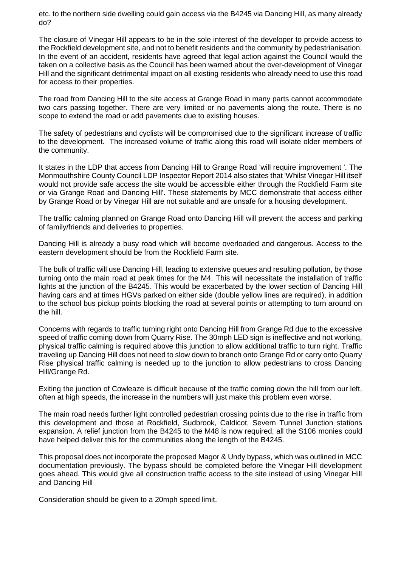etc. to the northern side dwelling could gain access via the B4245 via Dancing Hill, as many already do?

The closure of Vinegar Hill appears to be in the sole interest of the developer to provide access to the Rockfield development site, and not to benefit residents and the community by pedestrianisation. In the event of an accident, residents have agreed that legal action against the Council would the taken on a collective basis as the Council has been warned about the over-development of Vinegar Hill and the significant detrimental impact on all existing residents who already need to use this road for access to their properties.

The road from Dancing Hill to the site access at Grange Road in many parts cannot accommodate two cars passing together. There are very limited or no pavements along the route. There is no scope to extend the road or add pavements due to existing houses.

The safety of pedestrians and cyclists will be compromised due to the significant increase of traffic to the development. The increased volume of traffic along this road will isolate older members of the community.

It states in the LDP that access from Dancing Hill to Grange Road 'will require improvement '. The Monmouthshire County Council LDP Inspector Report 2014 also states that 'Whilst Vinegar Hill itself would not provide safe access the site would be accessible either through the Rockfield Farm site or via Grange Road and Dancing Hill'. These statements by MCC demonstrate that access either by Grange Road or by Vinegar Hill are not suitable and are unsafe for a housing development.

The traffic calming planned on Grange Road onto Dancing Hill will prevent the access and parking of family/friends and deliveries to properties.

Dancing Hill is already a busy road which will become overloaded and dangerous. Access to the eastern development should be from the Rockfield Farm site.

The bulk of traffic will use Dancing Hill, leading to extensive queues and resulting pollution, by those turning onto the main road at peak times for the M4. This will necessitate the installation of traffic lights at the junction of the B4245. This would be exacerbated by the lower section of Dancing Hill having cars and at times HGVs parked on either side (double yellow lines are required), in addition to the school bus pickup points blocking the road at several points or attempting to turn around on the hill.

Concerns with regards to traffic turning right onto Dancing Hill from Grange Rd due to the excessive speed of traffic coming down from Quarry Rise. The 30mph LED sign is ineffective and not working, physical traffic calming is required above this junction to allow additional traffic to turn right. Traffic traveling up Dancing Hill does not need to slow down to branch onto Grange Rd or carry onto Quarry Rise physical traffic calming is needed up to the junction to allow pedestrians to cross Dancing Hill/Grange Rd.

Exiting the junction of Cowleaze is difficult because of the traffic coming down the hill from our left, often at high speeds, the increase in the numbers will just make this problem even worse.

The main road needs further light controlled pedestrian crossing points due to the rise in traffic from this development and those at Rockfield, Sudbrook, Caldicot, Severn Tunnel Junction stations expansion. A relief junction from the B4245 to the M48 is now required, all the S106 monies could have helped deliver this for the communities along the length of the B4245.

This proposal does not incorporate the proposed Magor & Undy bypass, which was outlined in MCC documentation previously. The bypass should be completed before the Vinegar Hill development goes ahead. This would give all construction traffic access to the site instead of using Vinegar Hill and Dancing Hill

Consideration should be given to a 20mph speed limit.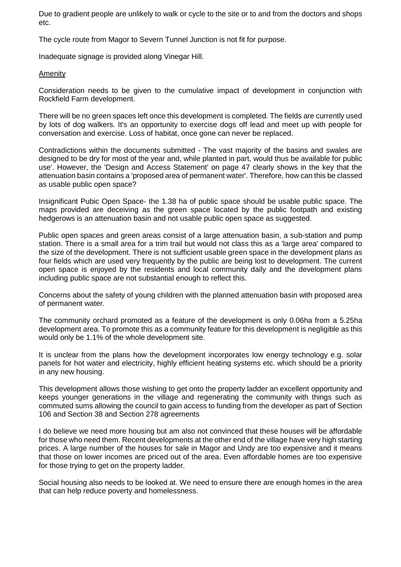Due to gradient people are unlikely to walk or cycle to the site or to and from the doctors and shops etc.

The cycle route from Magor to Severn Tunnel Junction is not fit for purpose.

Inadequate signage is provided along Vinegar Hill.

#### Amenity

Consideration needs to be given to the cumulative impact of development in conjunction with Rockfield Farm development.

There will be no green spaces left once this development is completed. The fields are currently used by lots of dog walkers. It's an opportunity to exercise dogs off lead and meet up with people for conversation and exercise. Loss of habitat, once gone can never be replaced.

Contradictions within the documents submitted - The vast majority of the basins and swales are designed to be dry for most of the year and, while planted in part, would thus be available for public use'. However, the 'Design and Access Statement' on page 47 clearly shows in the key that the attenuation basin contains a 'proposed area of permanent water'. Therefore, how can this be classed as usable public open space?

Insignificant Pubic Open Space- the 1.38 ha of public space should be usable public space. The maps provided are deceiving as the green space located by the public footpath and existing hedgerows is an attenuation basin and not usable public open space as suggested.

Public open spaces and green areas consist of a large attenuation basin, a sub-station and pump station. There is a small area for a trim trail but would not class this as a 'large area' compared to the size of the development. There is not sufficient usable green space in the development plans as four fields which are used very frequently by the public are being lost to development. The current open space is enjoyed by the residents and local community daily and the development plans including public space are not substantial enough to reflect this.

Concerns about the safety of young children with the planned attenuation basin with proposed area of permanent water.

The community orchard promoted as a feature of the development is only 0.06ha from a 5.25ha development area. To promote this as a community feature for this development is negligible as this would only be 1.1% of the whole development site.

It is unclear from the plans how the development incorporates low energy technology e.g. solar panels for hot water and electricity, highly efficient heating systems etc. which should be a priority in any new housing.

This development allows those wishing to get onto the property ladder an excellent opportunity and keeps younger generations in the village and regenerating the community with things such as commuted sums allowing the council to gain access to funding from the developer as part of Section 106 and Section 38 and Section 278 agreements

I do believe we need more housing but am also not convinced that these houses will be affordable for those who need them. Recent developments at the other end of the village have very high starting prices. A large number of the houses for sale in Magor and Undy are too expensive and it means that those on lower incomes are priced out of the area. Even affordable homes are too expensive for those trying to get on the property ladder.

Social housing also needs to be looked at. We need to ensure there are enough homes in the area that can help reduce poverty and homelessness.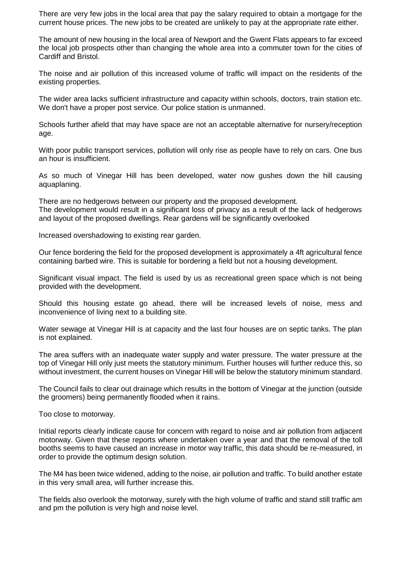There are very few jobs in the local area that pay the salary required to obtain a mortgage for the current house prices. The new jobs to be created are unlikely to pay at the appropriate rate either.

The amount of new housing in the local area of Newport and the Gwent Flats appears to far exceed the local job prospects other than changing the whole area into a commuter town for the cities of Cardiff and Bristol.

The noise and air pollution of this increased volume of traffic will impact on the residents of the existing properties.

The wider area lacks sufficient infrastructure and capacity within schools, doctors, train station etc. We don't have a proper post service. Our police station is unmanned.

Schools further afield that may have space are not an acceptable alternative for nursery/reception age.

With poor public transport services, pollution will only rise as people have to rely on cars. One bus an hour is insufficient.

As so much of Vinegar Hill has been developed, water now gushes down the hill causing aquaplaning.

There are no hedgerows between our property and the proposed development. The development would result in a significant loss of privacy as a result of the lack of hedgerows and layout of the proposed dwellings. Rear gardens will be significantly overlooked

Increased overshadowing to existing rear garden.

Our fence bordering the field for the proposed development is approximately a 4ft agricultural fence containing barbed wire. This is suitable for bordering a field but not a housing development.

Significant visual impact. The field is used by us as recreational green space which is not being provided with the development.

Should this housing estate go ahead, there will be increased levels of noise, mess and inconvenience of living next to a building site.

Water sewage at Vinegar Hill is at capacity and the last four houses are on septic tanks. The plan is not explained.

The area suffers with an inadequate water supply and water pressure. The water pressure at the top of Vinegar Hill only just meets the statutory minimum. Further houses will further reduce this, so without investment, the current houses on Vinegar Hill will be below the statutory minimum standard.

The Council fails to clear out drainage which results in the bottom of Vinegar at the junction (outside the groomers) being permanently flooded when it rains.

Too close to motorway.

Initial reports clearly indicate cause for concern with regard to noise and air pollution from adjacent motorway. Given that these reports where undertaken over a year and that the removal of the toll booths seems to have caused an increase in motor way traffic, this data should be re-measured, in order to provide the optimum design solution.

The M4 has been twice widened, adding to the noise, air pollution and traffic. To build another estate in this very small area, will further increase this.

The fields also overlook the motorway, surely with the high volume of traffic and stand still traffic am and pm the pollution is very high and noise level.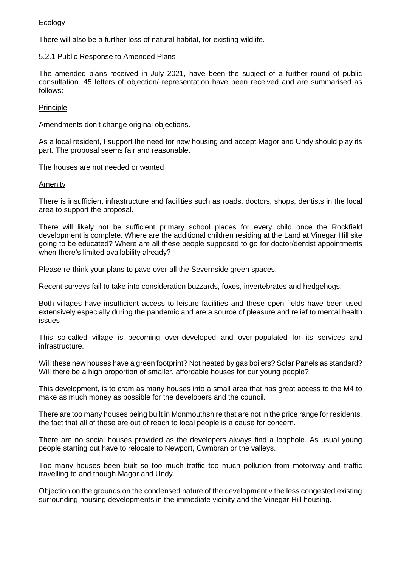## **Ecology**

There will also be a further loss of natural habitat, for existing wildlife.

### 5.2.1 Public Response to Amended Plans

The amended plans received in July 2021, have been the subject of a further round of public consultation. 45 letters of objection/ representation have been received and are summarised as follows:

### **Principle**

Amendments don't change original objections.

As a local resident, I support the need for new housing and accept Magor and Undy should play its part. The proposal seems fair and reasonable.

The houses are not needed or wanted

### Amenity

There is insufficient infrastructure and facilities such as roads, doctors, shops, dentists in the local area to support the proposal.

There will likely not be sufficient primary school places for every child once the Rockfield development is complete. Where are the additional children residing at the Land at Vinegar Hill site going to be educated? Where are all these people supposed to go for doctor/dentist appointments when there's limited availability already?

Please re-think your plans to pave over all the Severnside green spaces.

Recent surveys fail to take into consideration buzzards, foxes, invertebrates and hedgehogs.

Both villages have insufficient access to leisure facilities and these open fields have been used extensively especially during the pandemic and are a source of pleasure and relief to mental health issues

This so-called village is becoming over-developed and over-populated for its services and infrastructure.

Will these new houses have a green footprint? Not heated by gas boilers? Solar Panels as standard? Will there be a high proportion of smaller, affordable houses for our young people?

This development, is to cram as many houses into a small area that has great access to the M4 to make as much money as possible for the developers and the council.

There are too many houses being built in Monmouthshire that are not in the price range for residents, the fact that all of these are out of reach to local people is a cause for concern.

There are no social houses provided as the developers always find a loophole. As usual young people starting out have to relocate to Newport, Cwmbran or the valleys.

Too many houses been built so too much traffic too much pollution from motorway and traffic travelling to and though Magor and Undy.

Objection on the grounds on the condensed nature of the development v the less congested existing surrounding housing developments in the immediate vicinity and the Vinegar Hill housing.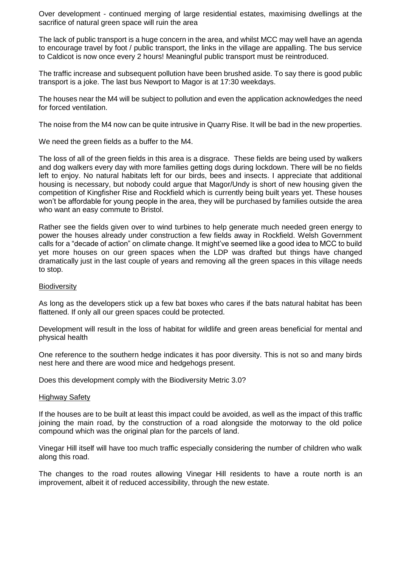Over development - continued merging of large residential estates, maximising dwellings at the sacrifice of natural green space will ruin the area

The lack of public transport is a huge concern in the area, and whilst MCC may well have an agenda to encourage travel by foot / public transport, the links in the village are appalling. The bus service to Caldicot is now once every 2 hours! Meaningful public transport must be reintroduced.

The traffic increase and subsequent pollution have been brushed aside. To say there is good public transport is a joke. The last bus Newport to Magor is at 17:30 weekdays.

The houses near the M4 will be subject to pollution and even the application acknowledges the need for forced ventilation.

The noise from the M4 now can be quite intrusive in Quarry Rise. It will be bad in the new properties.

We need the green fields as a buffer to the M4.

The loss of all of the green fields in this area is a disgrace. These fields are being used by walkers and dog walkers every day with more families getting dogs during lockdown. There will be no fields left to enjoy. No natural habitats left for our birds, bees and insects. I appreciate that additional housing is necessary, but nobody could argue that Magor/Undy is short of new housing given the competition of Kingfisher Rise and Rockfield which is currently being built years yet. These houses won't be affordable for young people in the area, they will be purchased by families outside the area who want an easy commute to Bristol.

Rather see the fields given over to wind turbines to help generate much needed green energy to power the houses already under construction a few fields away in Rockfield. Welsh Government calls for a "decade of action" on climate change. It might've seemed like a good idea to MCC to build yet more houses on our green spaces when the LDP was drafted but things have changed dramatically just in the last couple of years and removing all the green spaces in this village needs to stop.

#### **Biodiversity**

As long as the developers stick up a few bat boxes who cares if the bats natural habitat has been flattened. If only all our green spaces could be protected.

Development will result in the loss of habitat for wildlife and green areas beneficial for mental and physical health

One reference to the southern hedge indicates it has poor diversity. This is not so and many birds nest here and there are wood mice and hedgehogs present.

Does this development comply with the Biodiversity Metric 3.0?

#### Highway Safety

If the houses are to be built at least this impact could be avoided, as well as the impact of this traffic joining the main road, by the construction of a road alongside the motorway to the old police compound which was the original plan for the parcels of land.

Vinegar Hill itself will have too much traffic especially considering the number of children who walk along this road.

The changes to the road routes allowing Vinegar Hill residents to have a route north is an improvement, albeit it of reduced accessibility, through the new estate.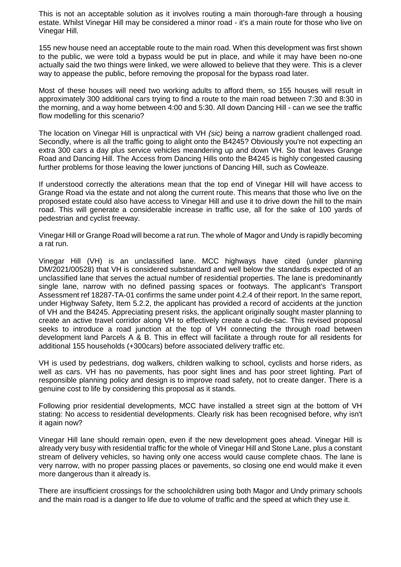This is not an acceptable solution as it involves routing a main thorough-fare through a housing estate. Whilst Vinegar Hill may be considered a minor road - it's a main route for those who live on Vinegar Hill.

155 new house need an acceptable route to the main road. When this development was first shown to the public, we were told a bypass would be put in place, and while it may have been no-one actually said the two things were linked, we were allowed to believe that they were. This is a clever way to appease the public, before removing the proposal for the bypass road later.

Most of these houses will need two working adults to afford them, so 155 houses will result in approximately 300 additional cars trying to find a route to the main road between 7:30 and 8:30 in the morning, and a way home between 4:00 and 5:30. All down Dancing Hill - can we see the traffic flow modelling for this scenario?

The location on Vinegar Hill is unpractical with VH *(sic)* being a narrow gradient challenged road. Secondly, where is all the traffic going to alight onto the B4245? Obviously you're not expecting an extra 300 cars a day plus service vehicles meandering up and down VH. So that leaves Grange Road and Dancing Hill. The Access from Dancing Hills onto the B4245 is highly congested causing further problems for those leaving the lower junctions of Dancing Hill, such as Cowleaze.

If understood correctly the alterations mean that the top end of Vinegar Hill will have access to Grange Road via the estate and not along the current route. This means that those who live on the proposed estate could also have access to Vinegar Hill and use it to drive down the hill to the main road. This will generate a considerable increase in traffic use, all for the sake of 100 yards of pedestrian and cyclist freeway.

Vinegar Hill or Grange Road will become a rat run. The whole of Magor and Undy is rapidly becoming a rat run.

Vinegar Hill (VH) is an unclassified lane. MCC highways have cited (under planning DM/2021/00528) that VH is considered substandard and well below the standards expected of an unclassified lane that serves the actual number of residential properties. The lane is predominantly single lane, narrow with no defined passing spaces or footways. The applicant's Transport Assessment ref 18287-TA-01 confirms the same under point 4.2.4 of their report. In the same report, under Highway Safety, Item 5.2.2, the applicant has provided a record of accidents at the junction of VH and the B4245. Appreciating present risks, the applicant originally sought master planning to create an active travel corridor along VH to effectively create a cul-de-sac. This revised proposal seeks to introduce a road junction at the top of VH connecting the through road between development land Parcels A & B. This in effect will facilitate a through route for all residents for additional 155 households (+300cars) before associated delivery traffic etc.

VH is used by pedestrians, dog walkers, children walking to school, cyclists and horse riders, as well as cars. VH has no pavements, has poor sight lines and has poor street lighting. Part of responsible planning policy and design is to improve road safety, not to create danger. There is a genuine cost to life by considering this proposal as it stands.

Following prior residential developments, MCC have installed a street sign at the bottom of VH stating: No access to residential developments. Clearly risk has been recognised before, why isn't it again now?

Vinegar Hill lane should remain open, even if the new development goes ahead. Vinegar Hill is already very busy with residential traffic for the whole of Vinegar Hill and Stone Lane, plus a constant stream of delivery vehicles, so having only one access would cause complete chaos. The lane is very narrow, with no proper passing places or pavements, so closing one end would make it even more dangerous than it already is.

There are insufficient crossings for the schoolchildren using both Magor and Undy primary schools and the main road is a danger to life due to volume of traffic and the speed at which they use it.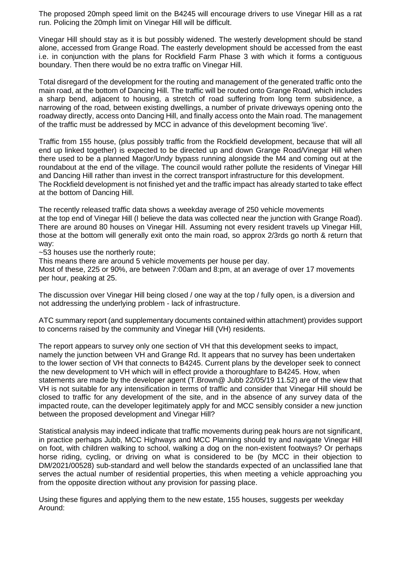The proposed 20mph speed limit on the B4245 will encourage drivers to use Vinegar Hill as a rat run. Policing the 20mph limit on Vinegar Hill will be difficult.

Vinegar Hill should stay as it is but possibly widened. The westerly development should be stand alone, accessed from Grange Road. The easterly development should be accessed from the east i.e. in conjunction with the plans for Rockfield Farm Phase 3 with which it forms a contiguous boundary. Then there would be no extra traffic on Vinegar Hill.

Total disregard of the development for the routing and management of the generated traffic onto the main road, at the bottom of Dancing Hill. The traffic will be routed onto Grange Road, which includes a sharp bend, adjacent to housing, a stretch of road suffering from long term subsidence, a narrowing of the road, between existing dwellings, a number of private driveways opening onto the roadway directly, access onto Dancing Hill, and finally access onto the Main road. The management of the traffic must be addressed by MCC in advance of this development becoming 'live'.

Traffic from 155 house, (plus possibly traffic from the Rockfield development, because that will all end up linked together) is expected to be directed up and down Grange Road/Vinegar Hill when there used to be a planned Magor/Undy bypass running alongside the M4 and coming out at the roundabout at the end of the village. The council would rather pollute the residents of Vinegar Hill and Dancing Hill rather than invest in the correct transport infrastructure for this development. The Rockfield development is not finished yet and the traffic impact has already started to take effect at the bottom of Dancing Hill.

The recently released traffic data shows a weekday average of 250 vehicle movements at the top end of Vinegar Hill (I believe the data was collected near the junction with Grange Road). There are around 80 houses on Vinegar Hill. Assuming not every resident travels up Vinegar Hill, those at the bottom will generally exit onto the main road, so approx 2/3rds go north & return that way:

~53 houses use the northerly route;

This means there are around 5 vehicle movements per house per day.

Most of these, 225 or 90%, are between 7:00am and 8:pm, at an average of over 17 movements per hour, peaking at 25.

The discussion over Vinegar Hill being closed / one way at the top / fully open, is a diversion and not addressing the underlying problem - lack of infrastructure.

ATC summary report (and supplementary documents contained within attachment) provides support to concerns raised by the community and Vinegar Hill (VH) residents.

The report appears to survey only one section of VH that this development seeks to impact, namely the junction between VH and Grange Rd. It appears that no survey has been undertaken to the lower section of VH that connects to B4245. Current plans by the developer seek to connect the new development to VH which will in effect provide a thoroughfare to B4245. How, when statements are made by the developer agent (T.Brown@ Jubb 22/05/19 11.52) are of the view that VH is not suitable for any intensification in terms of traffic and consider that Vinegar Hill should be closed to traffic for any development of the site, and in the absence of any survey data of the impacted route, can the developer legitimately apply for and MCC sensibly consider a new junction between the proposed development and Vinegar Hill?

Statistical analysis may indeed indicate that traffic movements during peak hours are not significant, in practice perhaps Jubb, MCC Highways and MCC Planning should try and navigate Vinegar Hill on foot, with children walking to school, walking a dog on the non-existent footways? Or perhaps horse riding, cycling, or driving on what is considered to be (by MCC in their objection to DM/2021/00528) sub-standard and well below the standards expected of an unclassified lane that serves the actual number of residential properties, this when meeting a vehicle approaching you from the opposite direction without any provision for passing place.

Using these figures and applying them to the new estate, 155 houses, suggests per weekday Around: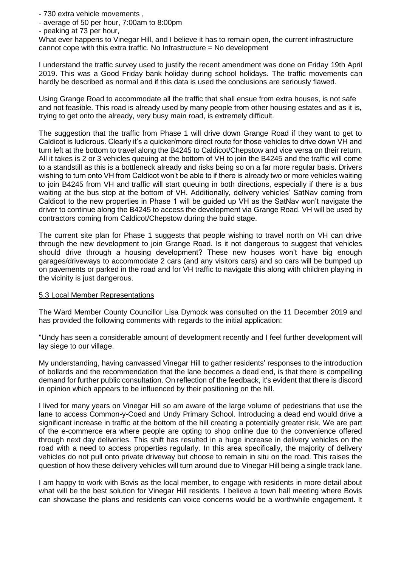- 730 extra vehicle movements ,

- average of 50 per hour, 7:00am to 8:00pm

- peaking at 73 per hour,

What ever happens to Vinegar Hill, and I believe it has to remain open, the current infrastructure cannot cope with this extra traffic. No Infrastructure = No development

I understand the traffic survey used to justify the recent amendment was done on Friday 19th April 2019. This was a Good Friday bank holiday during school holidays. The traffic movements can hardly be described as normal and if this data is used the conclusions are seriously flawed.

Using Grange Road to accommodate all the traffic that shall ensue from extra houses, is not safe and not feasible. This road is already used by many people from other housing estates and as it is, trying to get onto the already, very busy main road, is extremely difficult.

The suggestion that the traffic from Phase 1 will drive down Grange Road if they want to get to Caldicot is ludicrous. Clearly it's a quicker/more direct route for those vehicles to drive down VH and turn left at the bottom to travel along the B4245 to Caldicot/Chepstow and vice versa on their return. All it takes is 2 or 3 vehicles queuing at the bottom of VH to join the B4245 and the traffic will come to a standstill as this is a bottleneck already and risks being so on a far more regular basis. Drivers wishing to turn onto VH from Caldicot won't be able to if there is already two or more vehicles waiting to join B4245 from VH and traffic will start queuing in both directions, especially if there is a bus waiting at the bus stop at the bottom of VH. Additionally, delivery vehicles' SatNav coming from Caldicot to the new properties in Phase 1 will be guided up VH as the SatNav won't navigate the driver to continue along the B4245 to access the development via Grange Road. VH will be used by contractors coming from Caldicot/Chepstow during the build stage.

The current site plan for Phase 1 suggests that people wishing to travel north on VH can drive through the new development to join Grange Road. Is it not dangerous to suggest that vehicles should drive through a housing development? These new houses won't have big enough garages/driveways to accommodate 2 cars (and any visitors cars) and so cars will be bumped up on pavements or parked in the road and for VH traffic to navigate this along with children playing in the vicinity is just dangerous.

### 5.3 Local Member Representations

The Ward Member County Councillor Lisa Dymock was consulted on the 11 December 2019 and has provided the following comments with regards to the initial application:

"Undy has seen a considerable amount of development recently and I feel further development will lay siege to our village.

My understanding, having canvassed Vinegar Hill to gather residents' responses to the introduction of bollards and the recommendation that the lane becomes a dead end, is that there is compelling demand for further public consultation. On reflection of the feedback, it's evident that there is discord in opinion which appears to be influenced by their positioning on the hill.

I lived for many years on Vinegar Hill so am aware of the large volume of pedestrians that use the lane to access Common-y-Coed and Undy Primary School. Introducing a dead end would drive a significant increase in traffic at the bottom of the hill creating a potentially greater risk. We are part of the e-commerce era where people are opting to shop online due to the convenience offered through next day deliveries. This shift has resulted in a huge increase in delivery vehicles on the road with a need to access properties regularly. In this area specifically, the majority of delivery vehicles do not pull onto private driveway but choose to remain in situ on the road. This raises the question of how these delivery vehicles will turn around due to Vinegar Hill being a single track lane.

I am happy to work with Bovis as the local member, to engage with residents in more detail about what will be the best solution for Vinegar Hill residents. I believe a town hall meeting where Bovis can showcase the plans and residents can voice concerns would be a worthwhile engagement. It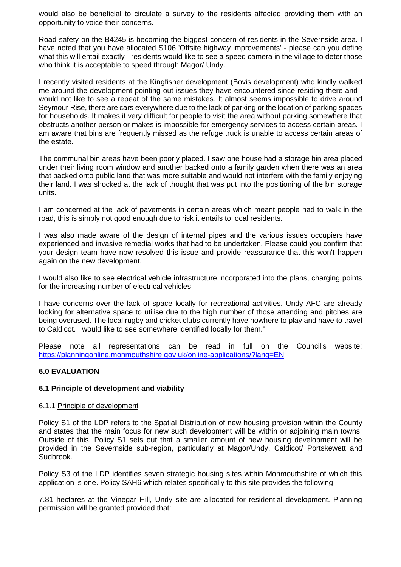would also be beneficial to circulate a survey to the residents affected providing them with an opportunity to voice their concerns.

Road safety on the B4245 is becoming the biggest concern of residents in the Severnside area. I have noted that you have allocated S106 'Offsite highway improvements' - please can you define what this will entail exactly - residents would like to see a speed camera in the village to deter those who think it is acceptable to speed through Magor/ Undy.

I recently visited residents at the Kingfisher development (Bovis development) who kindly walked me around the development pointing out issues they have encountered since residing there and I would not like to see a repeat of the same mistakes. It almost seems impossible to drive around Seymour Rise, there are cars everywhere due to the lack of parking or the location of parking spaces for households. It makes it very difficult for people to visit the area without parking somewhere that obstructs another person or makes is impossible for emergency services to access certain areas. I am aware that bins are frequently missed as the refuge truck is unable to access certain areas of the estate.

The communal bin areas have been poorly placed. I saw one house had a storage bin area placed under their living room window and another backed onto a family garden when there was an area that backed onto public land that was more suitable and would not interfere with the family enjoying their land. I was shocked at the lack of thought that was put into the positioning of the bin storage units.

I am concerned at the lack of pavements in certain areas which meant people had to walk in the road, this is simply not good enough due to risk it entails to local residents.

I was also made aware of the design of internal pipes and the various issues occupiers have experienced and invasive remedial works that had to be undertaken. Please could you confirm that your design team have now resolved this issue and provide reassurance that this won't happen again on the new development.

I would also like to see electrical vehicle infrastructure incorporated into the plans, charging points for the increasing number of electrical vehicles.

I have concerns over the lack of space locally for recreational activities. Undy AFC are already looking for alternative space to utilise due to the high number of those attending and pitches are being overused. The local rugby and cricket clubs currently have nowhere to play and have to travel to Caldicot. I would like to see somewhere identified locally for them."

Please note all representations can be read in full on the Council's website: <https://planningonline.monmouthshire.gov.uk/online-applications/?lang=EN>

### **6.0 EVALUATION**

### **6.1 Principle of development and viability**

#### 6.1.1 Principle of development

Policy S1 of the LDP refers to the Spatial Distribution of new housing provision within the County and states that the main focus for new such development will be within or adjoining main towns. Outside of this, Policy S1 sets out that a smaller amount of new housing development will be provided in the Severnside sub-region, particularly at Magor/Undy, Caldicot/ Portskewett and Sudbrook.

Policy S3 of the LDP identifies seven strategic housing sites within Monmouthshire of which this application is one. Policy SAH6 which relates specifically to this site provides the following:

7.81 hectares at the Vinegar Hill, Undy site are allocated for residential development. Planning permission will be granted provided that: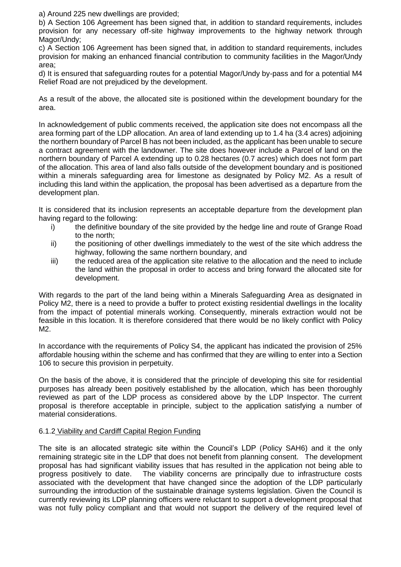a) Around 225 new dwellings are provided;

b) A Section 106 Agreement has been signed that, in addition to standard requirements, includes provision for any necessary off-site highway improvements to the highway network through Magor/Undy;

c) A Section 106 Agreement has been signed that, in addition to standard requirements, includes provision for making an enhanced financial contribution to community facilities in the Magor/Undy area;

d) It is ensured that safeguarding routes for a potential Magor/Undy by-pass and for a potential M4 Relief Road are not prejudiced by the development.

As a result of the above, the allocated site is positioned within the development boundary for the area.

In acknowledgement of public comments received, the application site does not encompass all the area forming part of the LDP allocation. An area of land extending up to 1.4 ha (3.4 acres) adjoining the northern boundary of Parcel B has not been included, as the applicant has been unable to secure a contract agreement with the landowner. The site does however include a Parcel of land on the northern boundary of Parcel A extending up to 0.28 hectares (0.7 acres) which does not form part of the allocation. This area of land also falls outside of the development boundary and is positioned within a minerals safeguarding area for limestone as designated by Policy M2. As a result of including this land within the application, the proposal has been advertised as a departure from the development plan.

It is considered that its inclusion represents an acceptable departure from the development plan having regard to the following:

- i) the definitive boundary of the site provided by the hedge line and route of Grange Road to the north;
- ii) the positioning of other dwellings immediately to the west of the site which address the highway, following the same northern boundary, and
- iii) the reduced area of the application site relative to the allocation and the need to include the land within the proposal in order to access and bring forward the allocated site for development.

With regards to the part of the land being within a Minerals Safeguarding Area as designated in Policy M2, there is a need to provide a buffer to protect existing residential dwellings in the locality from the impact of potential minerals working. Consequently, minerals extraction would not be feasible in this location. It is therefore considered that there would be no likely conflict with Policy M2.

In accordance with the requirements of Policy S4, the applicant has indicated the provision of 25% affordable housing within the scheme and has confirmed that they are willing to enter into a Section 106 to secure this provision in perpetuity.

On the basis of the above, it is considered that the principle of developing this site for residential purposes has already been positively established by the allocation, which has been thoroughly reviewed as part of the LDP process as considered above by the LDP Inspector. The current proposal is therefore acceptable in principle, subject to the application satisfying a number of material considerations.

## 6.1.2 Viability and Cardiff Capital Region Funding

The site is an allocated strategic site within the Council's LDP (Policy SAH6) and it the only remaining strategic site in the LDP that does not benefit from planning consent. The development proposal has had significant viability issues that has resulted in the application not being able to progress positively to date. The viability concerns are principally due to infrastructure costs associated with the development that have changed since the adoption of the LDP particularly surrounding the introduction of the sustainable drainage systems legislation. Given the Council is currently reviewing its LDP planning officers were reluctant to support a development proposal that was not fully policy compliant and that would not support the delivery of the required level of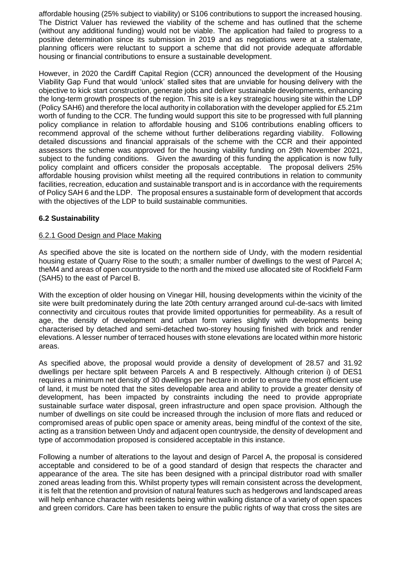affordable housing (25% subject to viability) or S106 contributions to support the increased housing. The District Valuer has reviewed the viability of the scheme and has outlined that the scheme (without any additional funding) would not be viable. The application had failed to progress to a positive determination since its submission in 2019 and as negotiations were at a stalemate, planning officers were reluctant to support a scheme that did not provide adequate affordable housing or financial contributions to ensure a sustainable development.

However, in 2020 the Cardiff Capital Region (CCR) announced the development of the Housing Viability Gap Fund that would 'unlock' stalled sites that are unviable for housing delivery with the objective to kick start construction, generate jobs and deliver sustainable developments, enhancing the long-term growth prospects of the region. This site is a key strategic housing site within the LDP (Policy SAH6) and therefore the local authority in collaboration with the developer applied for £5.21m worth of funding to the CCR. The funding would support this site to be progressed with full planning policy compliance in relation to affordable housing and S106 contributions enabling officers to recommend approval of the scheme without further deliberations regarding viability. Following detailed discussions and financial appraisals of the scheme with the CCR and their appointed assessors the scheme was approved for the housing viability funding on 29th November 2021, subject to the funding conditions. Given the awarding of this funding the application is now fully policy complaint and officers consider the proposals acceptable. The proposal delivers 25% affordable housing provision whilst meeting all the required contributions in relation to community facilities, recreation, education and sustainable transport and is in accordance with the requirements of Policy SAH 6 and the LDP. The proposal ensures a sustainable form of development that accords with the objectives of the LDP to build sustainable communities.

## **6.2 Sustainability**

### 6.2.1 Good Design and Place Making

As specified above the site is located on the northern side of Undy, with the modern residential housing estate of Quarry Rise to the south; a smaller number of dwellings to the west of Parcel A; theM4 and areas of open countryside to the north and the mixed use allocated site of Rockfield Farm (SAH5) to the east of Parcel B.

With the exception of older housing on Vinegar Hill, housing developments within the vicinity of the site were built predominately during the late 20th century arranged around cul-de-sacs with limited connectivity and circuitous routes that provide limited opportunities for permeability. As a result of age, the density of development and urban form varies slightly with developments being characterised by detached and semi-detached two-storey housing finished with brick and render elevations. A lesser number of terraced houses with stone elevations are located within more historic areas.

As specified above, the proposal would provide a density of development of 28.57 and 31.92 dwellings per hectare split between Parcels A and B respectively. Although criterion i) of DES1 requires a minimum net density of 30 dwellings per hectare in order to ensure the most efficient use of land, it must be noted that the sites developable area and ability to provide a greater density of development, has been impacted by constraints including the need to provide appropriate sustainable surface water disposal, green infrastructure and open space provision. Although the number of dwellings on site could be increased through the inclusion of more flats and reduced or compromised areas of public open space or amenity areas, being mindful of the context of the site, acting as a transition between Undy and adjacent open countryside, the density of development and type of accommodation proposed is considered acceptable in this instance.

Following a number of alterations to the layout and design of Parcel A, the proposal is considered acceptable and considered to be of a good standard of design that respects the character and appearance of the area. The site has been designed with a principal distributor road with smaller zoned areas leading from this. Whilst property types will remain consistent across the development, it is felt that the retention and provision of natural features such as hedgerows and landscaped areas will help enhance character with residents being within walking distance of a variety of open spaces and green corridors. Care has been taken to ensure the public rights of way that cross the sites are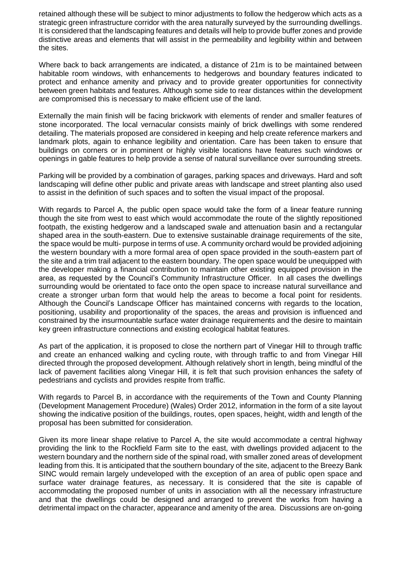retained although these will be subject to minor adjustments to follow the hedgerow which acts as a strategic green infrastructure corridor with the area naturally surveyed by the surrounding dwellings. It is considered that the landscaping features and details will help to provide buffer zones and provide distinctive areas and elements that will assist in the permeability and legibility within and between the sites.

Where back to back arrangements are indicated, a distance of 21m is to be maintained between habitable room windows, with enhancements to hedgerows and boundary features indicated to protect and enhance amenity and privacy and to provide greater opportunities for connectivity between green habitats and features. Although some side to rear distances within the development are compromised this is necessary to make efficient use of the land.

Externally the main finish will be facing brickwork with elements of render and smaller features of stone incorporated. The local vernacular consists mainly of brick dwellings with some rendered detailing. The materials proposed are considered in keeping and help create reference markers and landmark plots, again to enhance legibility and orientation. Care has been taken to ensure that buildings on corners or in prominent or highly visible locations have features such windows or openings in gable features to help provide a sense of natural surveillance over surrounding streets.

Parking will be provided by a combination of garages, parking spaces and driveways. Hard and soft landscaping will define other public and private areas with landscape and street planting also used to assist in the definition of such spaces and to soften the visual impact of the proposal.

With regards to Parcel A, the public open space would take the form of a linear feature running though the site from west to east which would accommodate the route of the slightly repositioned footpath, the existing hedgerow and a landscaped swale and attenuation basin and a rectangular shaped area in the south-eastern. Due to extensive sustainable drainage requirements of the site, the space would be multi- purpose in terms of use. A community orchard would be provided adjoining the western boundary with a more formal area of open space provided in the south-eastern part of the site and a trim trail adjacent to the eastern boundary. The open space would be unequipped with the developer making a financial contribution to maintain other existing equipped provision in the area, as requested by the Council's Community Infrastructure Officer. In all cases the dwellings surrounding would be orientated to face onto the open space to increase natural surveillance and create a stronger urban form that would help the areas to become a focal point for residents. Although the Council's Landscape Officer has maintained concerns with regards to the location, positioning, usability and proportionality of the spaces, the areas and provision is influenced and constrained by the insurmountable surface water drainage requirements and the desire to maintain key green infrastructure connections and existing ecological habitat features.

As part of the application, it is proposed to close the northern part of Vinegar Hill to through traffic and create an enhanced walking and cycling route, with through traffic to and from Vinegar Hill directed through the proposed development. Although relatively short in length, being mindful of the lack of pavement facilities along Vinegar Hill, it is felt that such provision enhances the safety of pedestrians and cyclists and provides respite from traffic.

With regards to Parcel B, in accordance with the requirements of the Town and County Planning (Development Management Procedure) (Wales) Order 2012, information in the form of a site layout showing the indicative position of the buildings, routes, open spaces, height, width and length of the proposal has been submitted for consideration.

Given its more linear shape relative to Parcel A, the site would accommodate a central highway providing the link to the Rockfield Farm site to the east, with dwellings provided adjacent to the western boundary and the northern side of the spinal road, with smaller zoned areas of development leading from this. It is anticipated that the southern boundary of the site, adjacent to the Breezy Bank SINC would remain largely undeveloped with the exception of an area of public open space and surface water drainage features, as necessary. It is considered that the site is capable of accommodating the proposed number of units in association with all the necessary infrastructure and that the dwellings could be designed and arranged to prevent the works from having a detrimental impact on the character, appearance and amenity of the area. Discussions are on-going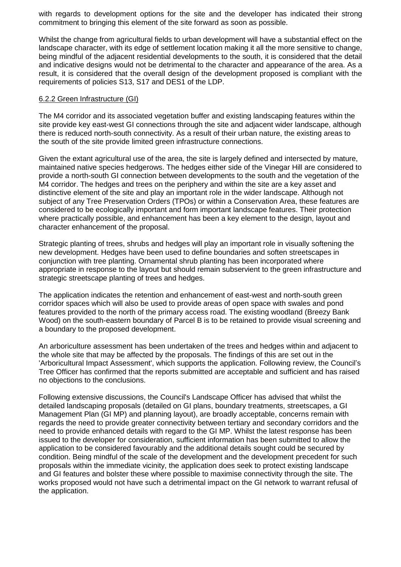with regards to development options for the site and the developer has indicated their strong commitment to bringing this element of the site forward as soon as possible.

Whilst the change from agricultural fields to urban development will have a substantial effect on the landscape character, with its edge of settlement location making it all the more sensitive to change, being mindful of the adjacent residential developments to the south, it is considered that the detail and indicative designs would not be detrimental to the character and appearance of the area. As a result, it is considered that the overall design of the development proposed is compliant with the requirements of policies S13, S17 and DES1 of the LDP.

#### 6.2.2 Green Infrastructure (GI)

The M4 corridor and its associated vegetation buffer and existing landscaping features within the site provide key east-west GI connections through the site and adjacent wider landscape, although there is reduced north-south connectivity. As a result of their urban nature, the existing areas to the south of the site provide limited green infrastructure connections.

Given the extant agricultural use of the area, the site is largely defined and intersected by mature, maintained native species hedgerows. The hedges either side of the Vinegar Hill are considered to provide a north-south GI connection between developments to the south and the vegetation of the M4 corridor. The hedges and trees on the periphery and within the site are a key asset and distinctive element of the site and play an important role in the wider landscape. Although not subject of any Tree Preservation Orders (TPOs) or within a Conservation Area, these features are considered to be ecologically important and form important landscape features. Their protection where practically possible, and enhancement has been a key element to the design, layout and character enhancement of the proposal.

Strategic planting of trees, shrubs and hedges will play an important role in visually softening the new development. Hedges have been used to define boundaries and soften streetscapes in conjunction with tree planting. Ornamental shrub planting has been incorporated where appropriate in response to the layout but should remain subservient to the green infrastructure and strategic streetscape planting of trees and hedges.

The application indicates the retention and enhancement of east-west and north-south green corridor spaces which will also be used to provide areas of open space with swales and pond features provided to the north of the primary access road. The existing woodland (Breezy Bank Wood) on the south-eastern boundary of Parcel B is to be retained to provide visual screening and a boundary to the proposed development.

An arboriculture assessment has been undertaken of the trees and hedges within and adjacent to the whole site that may be affected by the proposals. The findings of this are set out in the 'Arboricultural Impact Assessment', which supports the application. Following review, the Council's Tree Officer has confirmed that the reports submitted are acceptable and sufficient and has raised no objections to the conclusions.

Following extensive discussions, the Council's Landscape Officer has advised that whilst the detailed landscaping proposals (detailed on GI plans, boundary treatments, streetscapes, a GI Management Plan (GI MP) and planning layout), are broadly acceptable, concerns remain with regards the need to provide greater connectivity between tertiary and secondary corridors and the need to provide enhanced details with regard to the GI MP. Whilst the latest response has been issued to the developer for consideration, sufficient information has been submitted to allow the application to be considered favourably and the additional details sought could be secured by condition. Being mindful of the scale of the development and the development precedent for such proposals within the immediate vicinity, the application does seek to protect existing landscape and GI features and bolster these where possible to maximise connectivity through the site. The works proposed would not have such a detrimental impact on the GI network to warrant refusal of the application.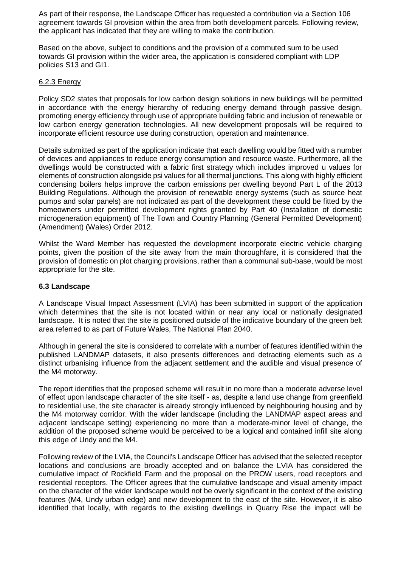As part of their response, the Landscape Officer has requested a contribution via a Section 106 agreement towards GI provision within the area from both development parcels. Following review, the applicant has indicated that they are willing to make the contribution.

Based on the above, subject to conditions and the provision of a commuted sum to be used towards GI provision within the wider area, the application is considered compliant with LDP policies S13 and GI1.

### 6.2.3 Energy

Policy SD2 states that proposals for low carbon design solutions in new buildings will be permitted in accordance with the energy hierarchy of reducing energy demand through passive design, promoting energy efficiency through use of appropriate building fabric and inclusion of renewable or low carbon energy generation technologies. All new development proposals will be required to incorporate efficient resource use during construction, operation and maintenance.

Details submitted as part of the application indicate that each dwelling would be fitted with a number of devices and appliances to reduce energy consumption and resource waste. Furthermore, all the dwellings would be constructed with a fabric first strategy which includes improved u values for elements of construction alongside psi values for all thermal junctions. This along with highly efficient condensing boilers helps improve the carbon emissions per dwelling beyond Part L of the 2013 Building Regulations. Although the provision of renewable energy systems (such as source heat pumps and solar panels) are not indicated as part of the development these could be fitted by the homeowners under permitted development rights granted by Part 40 (Installation of domestic microgeneration equipment) of The Town and Country Planning (General Permitted Development) (Amendment) (Wales) Order 2012.

Whilst the Ward Member has requested the development incorporate electric vehicle charging points, given the position of the site away from the main thoroughfare, it is considered that the provision of domestic on plot charging provisions, rather than a communal sub-base, would be most appropriate for the site.

## **6.3 Landscape**

A Landscape Visual Impact Assessment (LVIA) has been submitted in support of the application which determines that the site is not located within or near any local or nationally designated landscape. It is noted that the site is positioned outside of the indicative boundary of the green belt area referred to as part of Future Wales, The National Plan 2040.

Although in general the site is considered to correlate with a number of features identified within the published LANDMAP datasets, it also presents differences and detracting elements such as a distinct urbanising influence from the adjacent settlement and the audible and visual presence of the M4 motorway.

The report identifies that the proposed scheme will result in no more than a moderate adverse level of effect upon landscape character of the site itself - as, despite a land use change from greenfield to residential use, the site character is already strongly influenced by neighbouring housing and by the M4 motorway corridor. With the wider landscape (including the LANDMAP aspect areas and adjacent landscape setting) experiencing no more than a moderate-minor level of change, the addition of the proposed scheme would be perceived to be a logical and contained infill site along this edge of Undy and the M4.

Following review of the LVIA, the Council's Landscape Officer has advised that the selected receptor locations and conclusions are broadly accepted and on balance the LVIA has considered the cumulative impact of Rockfield Farm and the proposal on the PROW users, road receptors and residential receptors. The Officer agrees that the cumulative landscape and visual amenity impact on the character of the wider landscape would not be overly significant in the context of the existing features (M4, Undy urban edge) and new development to the east of the site. However, it is also identified that locally, with regards to the existing dwellings in Quarry Rise the impact will be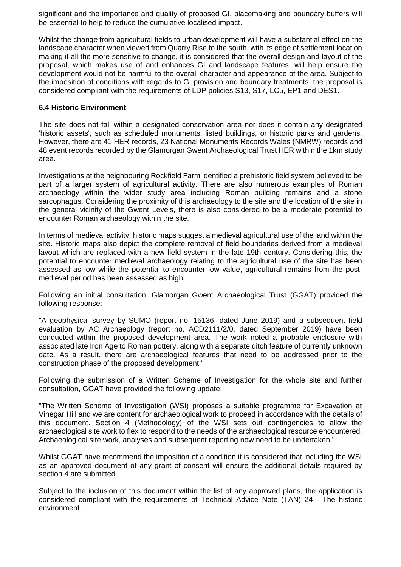significant and the importance and quality of proposed GI, placemaking and boundary buffers will be essential to help to reduce the cumulative localised impact.

Whilst the change from agricultural fields to urban development will have a substantial effect on the landscape character when viewed from Quarry Rise to the south, with its edge of settlement location making it all the more sensitive to change, it is considered that the overall design and layout of the proposal, which makes use of and enhances GI and landscape features, will help ensure the development would not be harmful to the overall character and appearance of the area. Subject to the imposition of conditions with regards to GI provision and boundary treatments, the proposal is considered compliant with the requirements of LDP policies S13, S17, LC5, EP1 and DES1.

#### **6.4 Historic Environment**

The site does not fall within a designated conservation area nor does it contain any designated 'historic assets', such as scheduled monuments, listed buildings, or historic parks and gardens. However, there are 41 HER records, 23 National Monuments Records Wales (NMRW) records and 48 event records recorded by the Glamorgan Gwent Archaeological Trust HER within the 1km study area.

Investigations at the neighbouring Rockfield Farm identified a prehistoric field system believed to be part of a larger system of agricultural activity. There are also numerous examples of Roman archaeology within the wider study area including Roman building remains and a stone sarcophagus. Considering the proximity of this archaeology to the site and the location of the site in the general vicinity of the Gwent Levels, there is also considered to be a moderate potential to encounter Roman archaeology within the site.

In terms of medieval activity, historic maps suggest a medieval agricultural use of the land within the site. Historic maps also depict the complete removal of field boundaries derived from a medieval layout which are replaced with a new field system in the late 19th century. Considering this, the potential to encounter medieval archaeology relating to the agricultural use of the site has been assessed as low while the potential to encounter low value, agricultural remains from the postmedieval period has been assessed as high.

Following an initial consultation, Glamorgan Gwent Archaeological Trust (GGAT) provided the following response:

"A geophysical survey by SUMO (report no. 15136, dated June 2019) and a subsequent field evaluation by AC Archaeology (report no. ACD2111/2/0, dated September 2019) have been conducted within the proposed development area. The work noted a probable enclosure with associated late Iron Age to Roman pottery, along with a separate ditch feature of currently unknown date. As a result, there are archaeological features that need to be addressed prior to the construction phase of the proposed development."

Following the submission of a Written Scheme of Investigation for the whole site and further consultation, GGAT have provided the following update:

"The Written Scheme of Investigation (WSI) proposes a suitable programme for Excavation at Vinegar Hill and we are content for archaeological work to proceed in accordance with the details of this document. Section 4 (Methodology) of the WSI sets out contingencies to allow the archaeological site work to flex to respond to the needs of the archaeological resource encountered. Archaeological site work, analyses and subsequent reporting now need to be undertaken."

Whilst GGAT have recommend the imposition of a condition it is considered that including the WSI as an approved document of any grant of consent will ensure the additional details required by section 4 are submitted.

Subject to the inclusion of this document within the list of any approved plans, the application is considered compliant with the requirements of Technical Advice Note (TAN) 24 - The historic environment.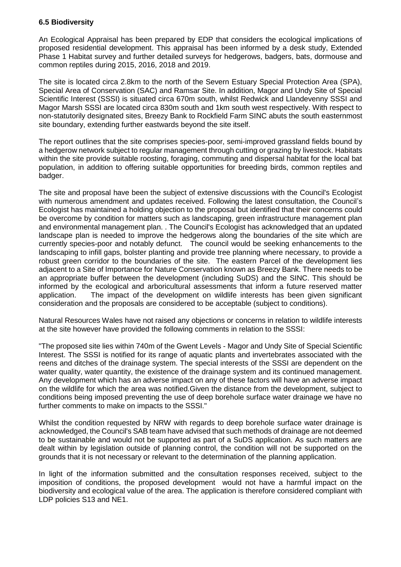### **6.5 Biodiversity**

An Ecological Appraisal has been prepared by EDP that considers the ecological implications of proposed residential development. This appraisal has been informed by a desk study, Extended Phase 1 Habitat survey and further detailed surveys for hedgerows, badgers, bats, dormouse and common reptiles during 2015, 2016, 2018 and 2019.

The site is located circa 2.8km to the north of the Severn Estuary Special Protection Area (SPA), Special Area of Conservation (SAC) and Ramsar Site. In addition, Magor and Undy Site of Special Scientific Interest (SSSI) is situated circa 670m south, whilst Redwick and Llandevenny SSSI and Magor Marsh SSSI are located circa 830m south and 1km south west respectively. With respect to non-statutorily designated sites, Breezy Bank to Rockfield Farm SINC abuts the south easternmost site boundary, extending further eastwards beyond the site itself.

The report outlines that the site comprises species-poor, semi-improved grassland fields bound by a hedgerow network subject to regular management through cutting or grazing by livestock. Habitats within the site provide suitable roosting, foraging, commuting and dispersal habitat for the local bat population, in addition to offering suitable opportunities for breeding birds, common reptiles and badger.

The site and proposal have been the subject of extensive discussions with the Council's Ecologist with numerous amendment and updates received. Following the latest consultation, the Council's Ecologist has maintained a holding objection to the proposal but identified that their concerns could be overcome by condition for matters such as landscaping, green infrastructure management plan and environmental management plan. . The Council's Ecologist has acknowledged that an updated landscape plan is needed to improve the hedgerows along the boundaries of the site which are currently species-poor and notably defunct. The council would be seeking enhancements to the landscaping to infill gaps, bolster planting and provide tree planning where necessary, to provide a robust green corridor to the boundaries of the site. The eastern Parcel of the development lies adjacent to a Site of Importance for Nature Conservation known as Breezy Bank. There needs to be an appropriate buffer between the development (including SuDS) and the SINC. This should be informed by the ecological and arboricultural assessments that inform a future reserved matter application. The impact of the development on wildlife interests has been given significant consideration and the proposals are considered to be acceptable (subject to conditions).

Natural Resources Wales have not raised any objections or concerns in relation to wildlife interests at the site however have provided the following comments in relation to the SSSI:

"The proposed site lies within 740m of the Gwent Levels - Magor and Undy Site of Special Scientific Interest. The SSSI is notified for its range of aquatic plants and invertebrates associated with the reens and ditches of the drainage system. The special interests of the SSSI are dependent on the water quality, water quantity, the existence of the drainage system and its continued management. Any development which has an adverse impact on any of these factors will have an adverse impact on the wildlife for which the area was notified.Given the distance from the development, subject to conditions being imposed preventing the use of deep borehole surface water drainage we have no further comments to make on impacts to the SSSI."

Whilst the condition requested by NRW with regards to deep borehole surface water drainage is acknowledged, the Council's SAB team have advised that such methods of drainage are not deemed to be sustainable and would not be supported as part of a SuDS application. As such matters are dealt within by legislation outside of planning control, the condition will not be supported on the grounds that it is not necessary or relevant to the determination of the planning application.

In light of the information submitted and the consultation responses received, subject to the imposition of conditions, the proposed development would not have a harmful impact on the biodiversity and ecological value of the area. The application is therefore considered compliant with LDP policies S13 and NE1.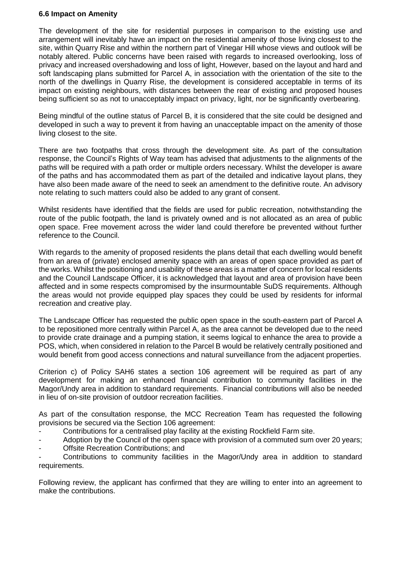### **6.6 Impact on Amenity**

The development of the site for residential purposes in comparison to the existing use and arrangement will inevitably have an impact on the residential amenity of those living closest to the site, within Quarry Rise and within the northern part of Vinegar Hill whose views and outlook will be notably altered. Public concerns have been raised with regards to increased overlooking, loss of privacy and increased overshadowing and loss of light, However, based on the layout and hard and soft landscaping plans submitted for Parcel A, in association with the orientation of the site to the north of the dwellings in Quarry Rise, the development is considered acceptable in terms of its impact on existing neighbours, with distances between the rear of existing and proposed houses being sufficient so as not to unacceptably impact on privacy, light, nor be significantly overbearing.

Being mindful of the outline status of Parcel B, it is considered that the site could be designed and developed in such a way to prevent it from having an unacceptable impact on the amenity of those living closest to the site.

There are two footpaths that cross through the development site. As part of the consultation response, the Council's Rights of Way team has advised that adjustments to the alignments of the paths will be required with a path order or multiple orders necessary. Whilst the developer is aware of the paths and has accommodated them as part of the detailed and indicative layout plans, they have also been made aware of the need to seek an amendment to the definitive route. An advisory note relating to such matters could also be added to any grant of consent.

Whilst residents have identified that the fields are used for public recreation, notwithstanding the route of the public footpath, the land is privately owned and is not allocated as an area of public open space. Free movement across the wider land could therefore be prevented without further reference to the Council.

With regards to the amenity of proposed residents the plans detail that each dwelling would benefit from an area of (private) enclosed amenity space with an areas of open space provided as part of the works. Whilst the positioning and usability of these areas is a matter of concern for local residents and the Council Landscape Officer, it is acknowledged that layout and area of provision have been affected and in some respects compromised by the insurmountable SuDS requirements. Although the areas would not provide equipped play spaces they could be used by residents for informal recreation and creative play.

The Landscape Officer has requested the public open space in the south-eastern part of Parcel A to be repositioned more centrally within Parcel A, as the area cannot be developed due to the need to provide crate drainage and a pumping station, it seems logical to enhance the area to provide a POS, which, when considered in relation to the Parcel B would be relatively centrally positioned and would benefit from good access connections and natural surveillance from the adjacent properties.

Criterion c) of Policy SAH6 states a section 106 agreement will be required as part of any development for making an enhanced financial contribution to community facilities in the Magor/Undy area in addition to standard requirements. Financial contributions will also be needed in lieu of on-site provision of outdoor recreation facilities.

As part of the consultation response, the MCC Recreation Team has requested the following provisions be secured via the Section 106 agreement:

- Contributions for a centralised play facility at the existing Rockfield Farm site.
- Adoption by the Council of the open space with provision of a commuted sum over 20 years;
- Offsite Recreation Contributions; and

Contributions to community facilities in the Magor/Undy area in addition to standard requirements.

Following review, the applicant has confirmed that they are willing to enter into an agreement to make the contributions.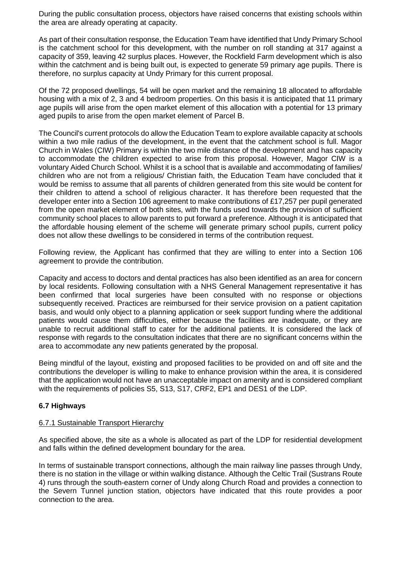During the public consultation process, objectors have raised concerns that existing schools within the area are already operating at capacity.

As part of their consultation response, the Education Team have identified that Undy Primary School is the catchment school for this development, with the number on roll standing at 317 against a capacity of 359, leaving 42 surplus places. However, the Rockfield Farm development which is also within the catchment and is being built out, is expected to generate 59 primary age pupils. There is therefore, no surplus capacity at Undy Primary for this current proposal.

Of the 72 proposed dwellings, 54 will be open market and the remaining 18 allocated to affordable housing with a mix of 2, 3 and 4 bedroom properties. On this basis it is anticipated that 11 primary age pupils will arise from the open market element of this allocation with a potential for 13 primary aged pupils to arise from the open market element of Parcel B.

The Council's current protocols do allow the Education Team to explore available capacity at schools within a two mile radius of the development, in the event that the catchment school is full. Magor Church in Wales (CIW) Primary is within the two mile distance of the development and has capacity to accommodate the children expected to arise from this proposal. However, Magor CIW is a voluntary Aided Church School. Whilst it is a school that is available and accommodating of families/ children who are not from a religious/ Christian faith, the Education Team have concluded that it would be remiss to assume that all parents of children generated from this site would be content for their children to attend a school of religious character. It has therefore been requested that the developer enter into a Section 106 agreement to make contributions of £17,257 per pupil generated from the open market element of both sites, with the funds used towards the provision of sufficient community school places to allow parents to put forward a preference. Although it is anticipated that the affordable housing element of the scheme will generate primary school pupils, current policy does not allow these dwellings to be considered in terms of the contribution request.

Following review, the Applicant has confirmed that they are willing to enter into a Section 106 agreement to provide the contribution.

Capacity and access to doctors and dental practices has also been identified as an area for concern by local residents. Following consultation with a NHS General Management representative it has been confirmed that local surgeries have been consulted with no response or objections subsequently received. Practices are reimbursed for their service provision on a patient capitation basis, and would only object to a planning application or seek support funding where the additional patients would cause them difficulties, either because the facilities are inadequate, or they are unable to recruit additional staff to cater for the additional patients. It is considered the lack of response with regards to the consultation indicates that there are no significant concerns within the area to accommodate any new patients generated by the proposal.

Being mindful of the layout, existing and proposed facilities to be provided on and off site and the contributions the developer is willing to make to enhance provision within the area, it is considered that the application would not have an unacceptable impact on amenity and is considered compliant with the requirements of policies S5, S13, S17, CRF2, EP1 and DES1 of the LDP.

### **6.7 Highways**

#### 6.7.1 Sustainable Transport Hierarchy

As specified above, the site as a whole is allocated as part of the LDP for residential development and falls within the defined development boundary for the area.

In terms of sustainable transport connections, although the main railway line passes through Undy, there is no station in the village or within walking distance. Although the Celtic Trail (Sustrans Route 4) runs through the south-eastern corner of Undy along Church Road and provides a connection to the Severn Tunnel junction station, objectors have indicated that this route provides a poor connection to the area.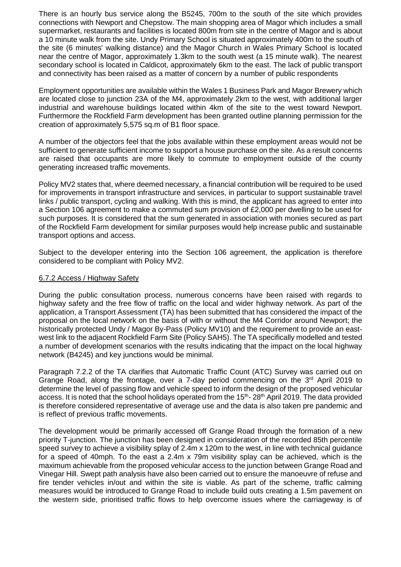There is an hourly bus service along the B5245, 700m to the south of the site which provides connections with Newport and Chepstow. The main shopping area of Magor which includes a small supermarket, restaurants and facilities is located 800m from site in the centre of Magor and is about a 10 minute walk from the site. Undy Primary School is situated approximately 400m to the south of the site (6 minutes' walking distance) and the Magor Church in Wales Primary School is located near the centre of Magor, approximately 1.3km to the south west (a 15 minute walk). The nearest secondary school is located in Caldicot, approximately 6km to the east. The lack of public transport and connectivity has been raised as a matter of concern by a number of public respondents

Employment opportunities are available within the Wales 1 Business Park and Magor Brewery which are located close to junction 23A of the M4, approximately 2km to the west, with additional larger industrial and warehouse buildings located within 4km of the site to the west toward Newport. Furthermore the Rockfield Farm development has been granted outline planning permission for the creation of approximately 5,575 sq.m of B1 floor space.

A number of the objectors feel that the jobs available within these employment areas would not be sufficient to generate sufficient income to support a house purchase on the site. As a result concerns are raised that occupants are more likely to commute to employment outside of the county generating increased traffic movements.

Policy MV2 states that, where deemed necessary, a financial contribution will be required to be used for improvements in transport infrastructure and services, in particular to support sustainable travel links / public transport, cycling and walking. With this is mind, the applicant has agreed to enter into a Section 106 agreement to make a commuted sum provision of £2,000 per dwelling to be used for such purposes. It is considered that the sum generated in association with monies secured as part of the Rockfield Farm development for similar purposes would help increase public and sustainable transport options and access.

Subject to the developer entering into the Section 106 agreement, the application is therefore considered to be compliant with Policy MV2.

### 6.7.2 Access / Highway Safety

During the public consultation process, numerous concerns have been raised with regards to highway safety and the free flow of traffic on the local and wider highway network. As part of the application, a Transport Assessment (TA) has been submitted that has considered the impact of the proposal on the local network on the basis of with or without the M4 Corridor around Newport; the historically protected Undy / Magor By-Pass (Policy MV10) and the requirement to provide an eastwest link to the adjacent Rockfield Farm Site (Policy SAH5). The TA specifically modelled and tested a number of development scenarios with the results indicating that the impact on the local highway network (B4245) and key junctions would be minimal.

Paragraph 7.2.2 of the TA clarifies that Automatic Traffic Count (ATC) Survey was carried out on Grange Road, along the frontage, over a 7-day period commencing on the 3<sup>rd</sup> April 2019 to determine the level of passing flow and vehicle speed to inform the design of the proposed vehicular access. It is noted that the school holidays operated from the 15<sup>th</sup>- 28<sup>th</sup> April 2019. The data provided is therefore considered representative of average use and the data is also taken pre pandemic and is reflect of previous traffic movements.

The development would be primarily accessed off Grange Road through the formation of a new priority T-junction. The junction has been designed in consideration of the recorded 85th percentile speed survey to achieve a visibility splay of 2.4m x 120m to the west, in line with technical guidance for a speed of 40mph. To the east a 2.4m x 79m visibility splay can be achieved, which is the maximum achievable from the proposed vehicular access to the junction between Grange Road and Vinegar Hill. Swept path analysis have also been carried out to ensure the manoeuvre of refuse and fire tender vehicles in/out and within the site is viable. As part of the scheme, traffic calming measures would be introduced to Grange Road to include build outs creating a 1.5m pavement on the western side, prioritised traffic flows to help overcome issues where the carriageway is of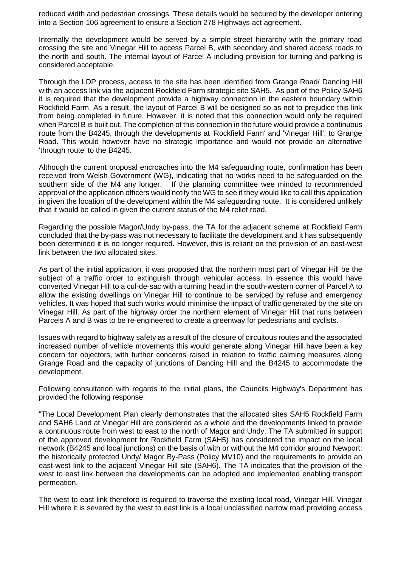reduced width and pedestrian crossings. These details would be secured by the developer entering into a Section 106 agreement to ensure a Section 278 Highways act agreement.

Internally the development would be served by a simple street hierarchy with the primary road crossing the site and Vinegar Hill to access Parcel B, with secondary and shared access roads to the north and south. The internal layout of Parcel A including provision for turning and parking is considered acceptable.

Through the LDP process, access to the site has been identified from Grange Road/ Dancing Hill with an access link via the adjacent Rockfield Farm strategic site SAH5. As part of the Policy SAH6 it is required that the development provide a highway connection in the eastern boundary within Rockfield Farm. As a result, the layout of Parcel B will be designed so as not to prejudice this link from being completed in future. However, it is noted that this connection would only be required when Parcel B is built out. The completion of this connection in the future would provide a continuous route from the B4245, through the developments at 'Rockfield Farm' and 'Vinegar Hill', to Grange Road. This would however have no strategic importance and would not provide an alternative 'through route' to the B4245.

Although the current proposal encroaches into the M4 safeguarding route, confirmation has been received from Welsh Government (WG), indicating that no works need to be safeguarded on the southern side of the M4 any longer. If the planning committee wee minded to recommended approval of the application officers would notify the WG to see if they would like to call this application in given the location of the development within the M4 safeguarding route. It is considered unlikely that it would be called in given the current status of the M4 relief road.

Regarding the possible Magor/Undy by-pass, the TA for the adjacent scheme at Rockfield Farm concluded that the by-pass was not necessary to facilitate the development and it has subsequently been determined it is no longer required. However, this is reliant on the provision of an east-west link between the two allocated sites.

As part of the initial application, it was proposed that the northern most part of Vinegar Hill be the subject of a traffic order to extinguish through vehicular access. In essence this would have converted Vinegar Hill to a cul-de-sac with a turning head in the south-western corner of Parcel A to allow the existing dwellings on Vinegar Hill to continue to be serviced by refuse and emergency vehicles. It was hoped that such works would minimise the impact of traffic generated by the site on Vinegar Hill. As part of the highway order the northern element of Vinegar Hill that runs between Parcels A and B was to be re-engineered to create a greenway for pedestrians and cyclists.

Issues with regard to highway safety as a result of the closure of circuitous routes and the associated increased number of vehicle movements this would generate along Vinegar Hill have been a key concern for objectors, with further concerns raised in relation to traffic calming measures along Grange Road and the capacity of junctions of Dancing Hill and the B4245 to accommodate the development.

Following consultation with regards to the initial plans, the Councils Highway's Department has provided the following response:

"The Local Development Plan clearly demonstrates that the allocated sites SAH5 Rockfield Farm and SAH6 Land at Vinegar Hill are considered as a whole and the developments linked to provide a continuous route from west to east to the north of Magor and Undy. The TA submitted in support of the approved development for Rockfield Farm (SAH5) has considered the impact on the local network (B4245 and local junctions) on the basis of with or without the M4 corridor around Newport; the historically protected Undy/ Magor By-Pass (Policy MV10) and the requirements to provide an east-west link to the adjacent Vinegar Hill site (SAH6). The TA indicates that the provision of the west to east link between the developments can be adopted and implemented enabling transport permeation.

The west to east link therefore is required to traverse the existing local road, Vinegar Hill. Vinegar Hill where it is severed by the west to east link is a local unclassified narrow road providing access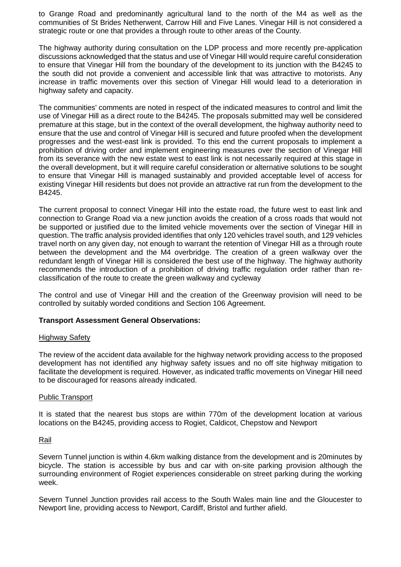to Grange Road and predominantly agricultural land to the north of the M4 as well as the communities of St Brides Netherwent, Carrow Hill and Five Lanes. Vinegar Hill is not considered a strategic route or one that provides a through route to other areas of the County.

The highway authority during consultation on the LDP process and more recently pre-application discussions acknowledged that the status and use of Vinegar Hill would require careful consideration to ensure that Vinegar Hill from the boundary of the development to its junction with the B4245 to the south did not provide a convenient and accessible link that was attractive to motorists. Any increase in traffic movements over this section of Vinegar Hill would lead to a deterioration in highway safety and capacity.

The communities' comments are noted in respect of the indicated measures to control and limit the use of Vinegar Hill as a direct route to the B4245. The proposals submitted may well be considered premature at this stage, but in the context of the overall development, the highway authority need to ensure that the use and control of Vinegar Hill is secured and future proofed when the development progresses and the west-east link is provided. To this end the current proposals to implement a prohibition of driving order and implement engineering measures over the section of Vinegar Hill from its severance with the new estate west to east link is not necessarily required at this stage in the overall development, but it will require careful consideration or alternative solutions to be sought to ensure that Vinegar Hill is managed sustainably and provided acceptable level of access for existing Vinegar Hill residents but does not provide an attractive rat run from the development to the B4245.

The current proposal to connect Vinegar Hill into the estate road, the future west to east link and connection to Grange Road via a new junction avoids the creation of a cross roads that would not be supported or justified due to the limited vehicle movements over the section of Vinegar Hill in question. The traffic analysis provided identifies that only 120 vehicles travel south, and 129 vehicles travel north on any given day, not enough to warrant the retention of Vinegar Hill as a through route between the development and the M4 overbridge. The creation of a green walkway over the redundant length of Vinegar Hill is considered the best use of the highway. The highway authority recommends the introduction of a prohibition of driving traffic regulation order rather than reclassification of the route to create the green walkway and cycleway

The control and use of Vinegar Hill and the creation of the Greenway provision will need to be controlled by suitably worded conditions and Section 106 Agreement.

### **Transport Assessment General Observations:**

### Highway Safety

The review of the accident data available for the highway network providing access to the proposed development has not identified any highway safety issues and no off site highway mitigation to facilitate the development is required. However, as indicated traffic movements on Vinegar Hill need to be discouraged for reasons already indicated.

### Public Transport

It is stated that the nearest bus stops are within 770m of the development location at various locations on the B4245, providing access to Rogiet, Caldicot, Chepstow and Newport

### Rail

Severn Tunnel junction is within 4.6km walking distance from the development and is 20minutes by bicycle. The station is accessible by bus and car with on-site parking provision although the surrounding environment of Rogiet experiences considerable on street parking during the working week.

Severn Tunnel Junction provides rail access to the South Wales main line and the Gloucester to Newport line, providing access to Newport, Cardiff, Bristol and further afield.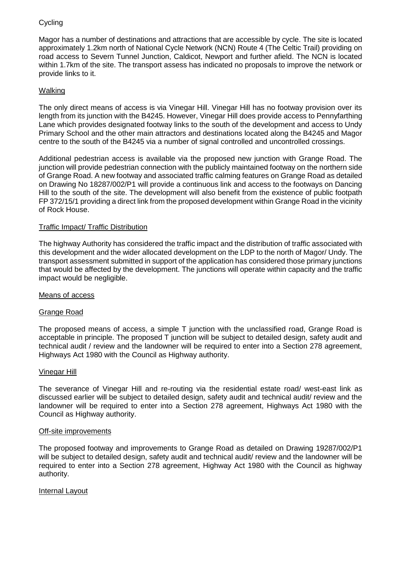## **Cycling**

Magor has a number of destinations and attractions that are accessible by cycle. The site is located approximately 1.2km north of National Cycle Network (NCN) Route 4 (The Celtic Trail) providing on road access to Severn Tunnel Junction, Caldicot, Newport and further afield. The NCN is located within 1.7km of the site. The transport assess has indicated no proposals to improve the network or provide links to it.

## Walking

The only direct means of access is via Vinegar Hill. Vinegar Hill has no footway provision over its length from its junction with the B4245. However, Vinegar Hill does provide access to Pennyfarthing Lane which provides designated footway links to the south of the development and access to Undy Primary School and the other main attractors and destinations located along the B4245 and Magor centre to the south of the B4245 via a number of signal controlled and uncontrolled crossings.

Additional pedestrian access is available via the proposed new junction with Grange Road. The junction will provide pedestrian connection with the publicly maintained footway on the northern side of Grange Road. A new footway and associated traffic calming features on Grange Road as detailed on Drawing No 18287/002/P1 will provide a continuous link and access to the footways on Dancing Hill to the south of the site. The development will also benefit from the existence of public footpath FP 372/15/1 providing a direct link from the proposed development within Grange Road in the vicinity of Rock House.

### Traffic Impact/ Traffic Distribution

The highway Authority has considered the traffic impact and the distribution of traffic associated with this development and the wider allocated development on the LDP to the north of Magor/ Undy. The transport assessment submitted in support of the application has considered those primary junctions that would be affected by the development. The junctions will operate within capacity and the traffic impact would be negligible.

### Means of access

### Grange Road

The proposed means of access, a simple T junction with the unclassified road, Grange Road is acceptable in principle. The proposed T junction will be subject to detailed design, safety audit and technical audit / review and the landowner will be required to enter into a Section 278 agreement, Highways Act 1980 with the Council as Highway authority.

#### Vinegar Hill

The severance of Vinegar Hill and re-routing via the residential estate road/ west-east link as discussed earlier will be subject to detailed design, safety audit and technical audit/ review and the landowner will be required to enter into a Section 278 agreement, Highways Act 1980 with the Council as Highway authority.

#### Off-site improvements

The proposed footway and improvements to Grange Road as detailed on Drawing 19287/002/P1 will be subject to detailed design, safety audit and technical audit/ review and the landowner will be required to enter into a Section 278 agreement, Highway Act 1980 with the Council as highway authority.

## Internal Layout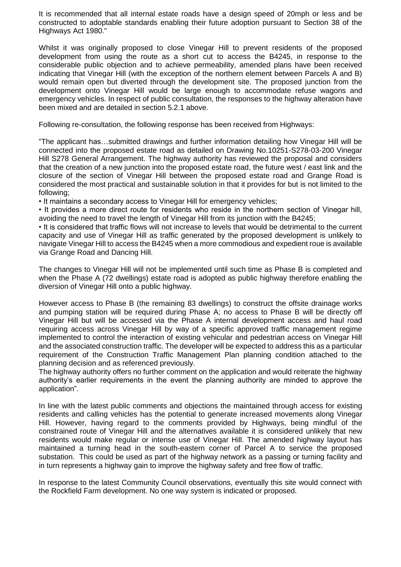It is recommended that all internal estate roads have a design speed of 20mph or less and be constructed to adoptable standards enabling their future adoption pursuant to Section 38 of the Highways Act 1980."

Whilst it was originally proposed to close Vinegar Hill to prevent residents of the proposed development from using the route as a short cut to access the B4245, in response to the considerable public objection and to achieve permeability, amended plans have been received indicating that Vinegar Hill (with the exception of the northern element between Parcels A and B) would remain open but diverted through the development site. The proposed junction from the development onto Vinegar Hill would be large enough to accommodate refuse wagons and emergency vehicles. In respect of public consultation, the responses to the highway alteration have been mixed and are detailed in section 5.2.1 above.

Following re-consultation, the following response has been received from Highways:

"The applicant has…submitted drawings and further information detailing how Vinegar Hill will be connected into the proposed estate road as detailed on Drawing No.10251-S278-03-200 Vinegar Hill S278 General Arrangement. The highway authority has reviewed the proposal and considers that the creation of a new junction into the proposed estate road, the future west / east link and the closure of the section of Vinegar Hill between the proposed estate road and Grange Road is considered the most practical and sustainable solution in that it provides for but is not limited to the following;

• It maintains a secondary access to Vinegar Hill for emergency vehicles;

• It provides a more direct route for residents who reside in the northern section of Vinegar hill, avoiding the need to travel the length of Vinegar Hill from its junction with the B4245;

• It is considered that traffic flows will not increase to levels that would be detrimental to the current capacity and use of Vinegar Hill as traffic generated by the proposed development is unlikely to navigate Vinegar Hill to access the B4245 when a more commodious and expedient roue is available via Grange Road and Dancing Hill.

The changes to Vinegar Hill will not be implemented until such time as Phase B is completed and when the Phase A (72 dwellings) estate road is adopted as public highway therefore enabling the diversion of Vinegar Hill onto a public highway.

However access to Phase B (the remaining 83 dwellings) to construct the offsite drainage works and pumping station will be required during Phase A; no access to Phase B will be directly off Vinegar Hill but will be accessed via the Phase A internal development access and haul road requiring access across Vinegar Hill by way of a specific approved traffic management regime implemented to control the interaction of existing vehicular and pedestrian access on Vinegar Hill and the associated construction traffic. The developer will be expected to address this as a particular requirement of the Construction Traffic Management Plan planning condition attached to the planning decision and as referenced previously.

The highway authority offers no further comment on the application and would reiterate the highway authority's earlier requirements in the event the planning authority are minded to approve the application".

In line with the latest public comments and objections the maintained through access for existing residents and calling vehicles has the potential to generate increased movements along Vinegar Hill. However, having regard to the comments provided by Highways, being mindful of the constrained route of Vinegar Hill and the alternatives available it is considered unlikely that new residents would make regular or intense use of Vinegar Hill. The amended highway layout has maintained a turning head in the south-eastern corner of Parcel A to service the proposed substation. This could be used as part of the highway network as a passing or turning facility and in turn represents a highway gain to improve the highway safety and free flow of traffic.

In response to the latest Community Council observations, eventually this site would connect with the Rockfield Farm development. No one way system is indicated or proposed.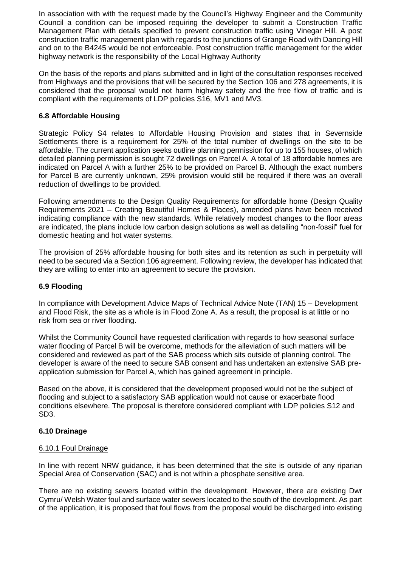In association with with the request made by the Council's Highway Engineer and the Community Council a condition can be imposed requiring the developer to submit a Construction Traffic Management Plan with details specified to prevent construction traffic using Vinegar Hill. A post construction traffic management plan with regards to the junctions of Grange Road with Dancing Hill and on to the B4245 would be not enforceable. Post construction traffic management for the wider highway network is the responsibility of the Local Highway Authority

On the basis of the reports and plans submitted and in light of the consultation responses received from Highways and the provisions that will be secured by the Section 106 and 278 agreements, it is considered that the proposal would not harm highway safety and the free flow of traffic and is compliant with the requirements of LDP policies S16, MV1 and MV3.

## **6.8 Affordable Housing**

Strategic Policy S4 relates to Affordable Housing Provision and states that in Severnside Settlements there is a requirement for 25% of the total number of dwellings on the site to be affordable. The current application seeks outline planning permission for up to 155 houses, of which detailed planning permission is sought 72 dwellings on Parcel A. A total of 18 affordable homes are indicated on Parcel A with a further 25% to be provided on Parcel B. Although the exact numbers for Parcel B are currently unknown, 25% provision would still be required if there was an overall reduction of dwellings to be provided.

Following amendments to the Design Quality Requirements for affordable home (Design Quality Requirements 2021 – Creating Beautiful Homes & Places), amended plans have been received indicating compliance with the new standards. While relatively modest changes to the floor areas are indicated, the plans include low carbon design solutions as well as detailing "non-fossil" fuel for domestic heating and hot water systems.

The provision of 25% affordable housing for both sites and its retention as such in perpetuity will need to be secured via a Section 106 agreement. Following review, the developer has indicated that they are willing to enter into an agreement to secure the provision.

### **6.9 Flooding**

In compliance with Development Advice Maps of Technical Advice Note (TAN) 15 – Development and Flood Risk, the site as a whole is in Flood Zone A. As a result, the proposal is at little or no risk from sea or river flooding.

Whilst the Community Council have requested clarification with regards to how seasonal surface water flooding of Parcel B will be overcome, methods for the alleviation of such matters will be considered and reviewed as part of the SAB process which sits outside of planning control. The developer is aware of the need to secure SAB consent and has undertaken an extensive SAB preapplication submission for Parcel A, which has gained agreement in principle.

Based on the above, it is considered that the development proposed would not be the subject of flooding and subject to a satisfactory SAB application would not cause or exacerbate flood conditions elsewhere. The proposal is therefore considered compliant with LDP policies S12 and SD3.

### **6.10 Drainage**

### 6.10.1 Foul Drainage

In line with recent NRW guidance, it has been determined that the site is outside of any riparian Special Area of Conservation (SAC) and is not within a phosphate sensitive area.

There are no existing sewers located within the development. However, there are existing Dwr Cymru/ Welsh Water foul and surface water sewers located to the south of the development. As part of the application, it is proposed that foul flows from the proposal would be discharged into existing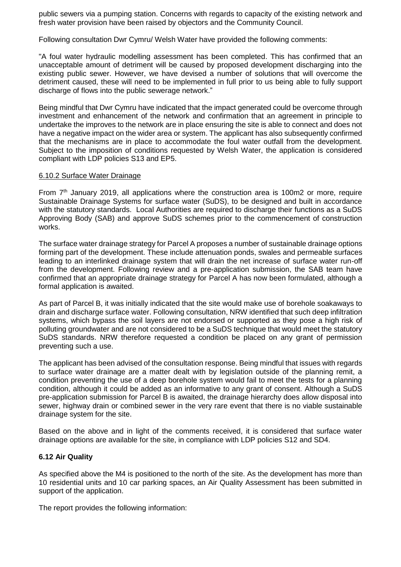public sewers via a pumping station. Concerns with regards to capacity of the existing network and fresh water provision have been raised by objectors and the Community Council.

Following consultation Dwr Cymru/ Welsh Water have provided the following comments:

"A foul water hydraulic modelling assessment has been completed. This has confirmed that an unacceptable amount of detriment will be caused by proposed development discharging into the existing public sewer. However, we have devised a number of solutions that will overcome the detriment caused, these will need to be implemented in full prior to us being able to fully support discharge of flows into the public sewerage network."

Being mindful that Dwr Cymru have indicated that the impact generated could be overcome through investment and enhancement of the network and confirmation that an agreement in principle to undertake the improves to the network are in place ensuring the site is able to connect and does not have a negative impact on the wider area or system. The applicant has also subsequently confirmed that the mechanisms are in place to accommodate the foul water outfall from the development. Subject to the imposition of conditions requested by Welsh Water, the application is considered compliant with LDP policies S13 and EP5.

### 6.10.2 Surface Water Drainage

From  $7<sup>th</sup>$  January 2019, all applications where the construction area is 100m2 or more, require Sustainable Drainage Systems for surface water (SuDS), to be designed and built in accordance with the statutory standards. Local Authorities are required to discharge their functions as a SuDS Approving Body (SAB) and approve SuDS schemes prior to the commencement of construction works.

The surface water drainage strategy for Parcel A proposes a number of sustainable drainage options forming part of the development. These include attenuation ponds, swales and permeable surfaces leading to an interlinked drainage system that will drain the net increase of surface water run-off from the development. Following review and a pre-application submission, the SAB team have confirmed that an appropriate drainage strategy for Parcel A has now been formulated, although a formal application is awaited.

As part of Parcel B, it was initially indicated that the site would make use of borehole soakaways to drain and discharge surface water. Following consultation, NRW identified that such deep infiltration systems, which bypass the soil layers are not endorsed or supported as they pose a high risk of polluting groundwater and are not considered to be a SuDS technique that would meet the statutory SuDS standards. NRW therefore requested a condition be placed on any grant of permission preventing such a use.

The applicant has been advised of the consultation response. Being mindful that issues with regards to surface water drainage are a matter dealt with by legislation outside of the planning remit, a condition preventing the use of a deep borehole system would fail to meet the tests for a planning condition, although it could be added as an informative to any grant of consent. Although a SuDS pre-application submission for Parcel B is awaited, the drainage hierarchy does allow disposal into sewer, highway drain or combined sewer in the very rare event that there is no viable sustainable drainage system for the site.

Based on the above and in light of the comments received, it is considered that surface water drainage options are available for the site, in compliance with LDP policies S12 and SD4.

### **6.12 Air Quality**

As specified above the M4 is positioned to the north of the site. As the development has more than 10 residential units and 10 car parking spaces, an Air Quality Assessment has been submitted in support of the application.

The report provides the following information: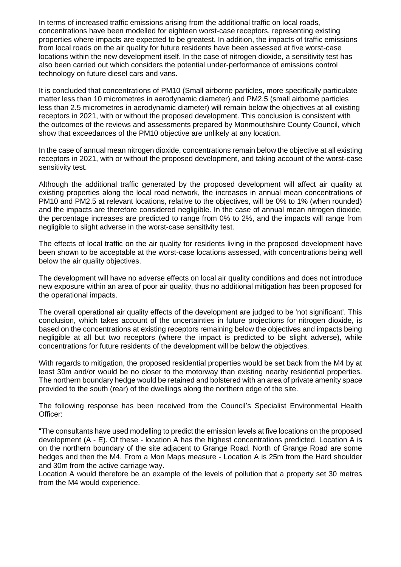In terms of increased traffic emissions arising from the additional traffic on local roads, concentrations have been modelled for eighteen worst-case receptors, representing existing properties where impacts are expected to be greatest. In addition, the impacts of traffic emissions from local roads on the air quality for future residents have been assessed at five worst-case locations within the new development itself. In the case of nitrogen dioxide, a sensitivity test has also been carried out which considers the potential under-performance of emissions control technology on future diesel cars and vans.

It is concluded that concentrations of PM10 (Small airborne particles, more specifically particulate matter less than 10 micrometres in aerodynamic diameter) and PM2.5 (small airborne particles less than 2.5 micrometres in aerodynamic diameter) will remain below the objectives at all existing receptors in 2021, with or without the proposed development. This conclusion is consistent with the outcomes of the reviews and assessments prepared by Monmouthshire County Council, which show that exceedances of the PM10 objective are unlikely at any location.

In the case of annual mean nitrogen dioxide, concentrations remain below the objective at all existing receptors in 2021, with or without the proposed development, and taking account of the worst-case sensitivity test.

Although the additional traffic generated by the proposed development will affect air quality at existing properties along the local road network, the increases in annual mean concentrations of PM10 and PM2.5 at relevant locations, relative to the objectives, will be 0% to 1% (when rounded) and the impacts are therefore considered negligible. In the case of annual mean nitrogen dioxide, the percentage increases are predicted to range from 0% to 2%, and the impacts will range from negligible to slight adverse in the worst-case sensitivity test.

The effects of local traffic on the air quality for residents living in the proposed development have been shown to be acceptable at the worst-case locations assessed, with concentrations being well below the air quality objectives.

The development will have no adverse effects on local air quality conditions and does not introduce new exposure within an area of poor air quality, thus no additional mitigation has been proposed for the operational impacts.

The overall operational air quality effects of the development are judged to be 'not significant'. This conclusion, which takes account of the uncertainties in future projections for nitrogen dioxide, is based on the concentrations at existing receptors remaining below the objectives and impacts being negligible at all but two receptors (where the impact is predicted to be slight adverse), while concentrations for future residents of the development will be below the objectives.

With regards to mitigation, the proposed residential properties would be set back from the M4 by at least 30m and/or would be no closer to the motorway than existing nearby residential properties. The northern boundary hedge would be retained and bolstered with an area of private amenity space provided to the south (rear) of the dwellings along the northern edge of the site.

The following response has been received from the Council's Specialist Environmental Health Officer:

"The consultants have used modelling to predict the emission levels at five locations on the proposed development (A - E). Of these - location A has the highest concentrations predicted. Location A is on the northern boundary of the site adjacent to Grange Road. North of Grange Road are some hedges and then the M4. From a Mon Maps measure - Location A is 25m from the Hard shoulder and 30m from the active carriage way.

Location A would therefore be an example of the levels of pollution that a property set 30 metres from the M4 would experience.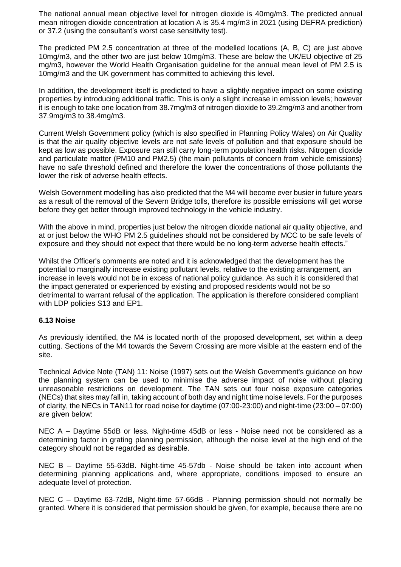The national annual mean objective level for nitrogen dioxide is 40mg/m3. The predicted annual mean nitrogen dioxide concentration at location A is 35.4 mg/m3 in 2021 (using DEFRA prediction) or 37.2 (using the consultant's worst case sensitivity test).

The predicted PM 2.5 concentration at three of the modelled locations (A, B, C) are just above 10mg/m3, and the other two are just below 10mg/m3. These are below the UK/EU objective of 25 mg/m3, however the World Health Organisation guideline for the annual mean level of PM 2.5 is 10mg/m3 and the UK government has committed to achieving this level.

In addition, the development itself is predicted to have a slightly negative impact on some existing properties by introducing additional traffic. This is only a slight increase in emission levels; however it is enough to take one location from 38.7mg/m3 of nitrogen dioxide to 39.2mg/m3 and another from 37.9mg/m3 to 38.4mg/m3.

Current Welsh Government policy (which is also specified in Planning Policy Wales) on Air Quality is that the air quality objective levels are not safe levels of pollution and that exposure should be kept as low as possible. Exposure can still carry long-term population health risks. Nitrogen dioxide and particulate matter (PM10 and PM2.5) (the main pollutants of concern from vehicle emissions) have no safe threshold defined and therefore the lower the concentrations of those pollutants the lower the risk of adverse health effects.

Welsh Government modelling has also predicted that the M4 will become ever busier in future years as a result of the removal of the Severn Bridge tolls, therefore its possible emissions will get worse before they get better through improved technology in the vehicle industry.

With the above in mind, properties just below the nitrogen dioxide national air quality objective, and at or just below the WHO PM 2.5 guidelines should not be considered by MCC to be safe levels of exposure and they should not expect that there would be no long-term adverse health effects."

Whilst the Officer's comments are noted and it is acknowledged that the development has the potential to marginally increase existing pollutant levels, relative to the existing arrangement, an increase in levels would not be in excess of national policy guidance. As such it is considered that the impact generated or experienced by existing and proposed residents would not be so detrimental to warrant refusal of the application. The application is therefore considered compliant with LDP policies S13 and EP1.

### **6.13 Noise**

As previously identified, the M4 is located north of the proposed development, set within a deep cutting. Sections of the M4 towards the Severn Crossing are more visible at the eastern end of the site.

Technical Advice Note (TAN) 11: Noise (1997) sets out the Welsh Government's guidance on how the planning system can be used to minimise the adverse impact of noise without placing unreasonable restrictions on development. The TAN sets out four noise exposure categories (NECs) that sites may fall in, taking account of both day and night time noise levels. For the purposes of clarity, the NECs in TAN11 for road noise for daytime (07:00-23:00) and night-time (23:00 – 07:00) are given below:

NEC A – Daytime 55dB or less. Night-time 45dB or less - Noise need not be considered as a determining factor in grating planning permission, although the noise level at the high end of the category should not be regarded as desirable.

NEC B – Daytime 55-63dB. Night-time 45-57db - Noise should be taken into account when determining planning applications and, where appropriate, conditions imposed to ensure an adequate level of protection.

NEC C – Daytime 63-72dB, Night-time 57-66dB - Planning permission should not normally be granted. Where it is considered that permission should be given, for example, because there are no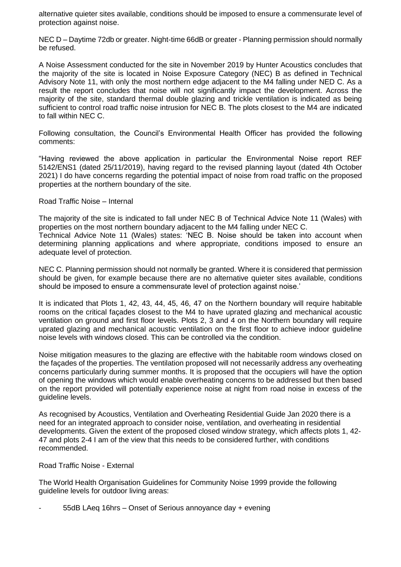alternative quieter sites available, conditions should be imposed to ensure a commensurate level of protection against noise.

NEC D – Daytime 72db or greater. Night-time 66dB or greater - Planning permission should normally be refused.

A Noise Assessment conducted for the site in November 2019 by Hunter Acoustics concludes that the majority of the site is located in Noise Exposure Category (NEC) B as defined in Technical Advisory Note 11, with only the most northern edge adjacent to the M4 falling under NED C. As a result the report concludes that noise will not significantly impact the development. Across the majority of the site, standard thermal double glazing and trickle ventilation is indicated as being sufficient to control road traffic noise intrusion for NEC B. The plots closest to the M4 are indicated to fall within NEC C.

Following consultation, the Council's Environmental Health Officer has provided the following comments:

"Having reviewed the above application in particular the Environmental Noise report REF 5142/ENS1 (dated 25/11/2019), having regard to the revised planning layout (dated 4th October 2021) I do have concerns regarding the potential impact of noise from road traffic on the proposed properties at the northern boundary of the site.

Road Traffic Noise – Internal

The majority of the site is indicated to fall under NEC B of Technical Advice Note 11 (Wales) with properties on the most northern boundary adjacent to the M4 falling under NEC C.

Technical Advice Note 11 (Wales) states: 'NEC B. Noise should be taken into account when determining planning applications and where appropriate, conditions imposed to ensure an adequate level of protection.

NEC C. Planning permission should not normally be granted. Where it is considered that permission should be given, for example because there are no alternative quieter sites available, conditions should be imposed to ensure a commensurate level of protection against noise.'

It is indicated that Plots 1, 42, 43, 44, 45, 46, 47 on the Northern boundary will require habitable rooms on the critical façades closest to the M4 to have uprated glazing and mechanical acoustic ventilation on ground and first floor levels. Plots 2, 3 and 4 on the Northern boundary will require uprated glazing and mechanical acoustic ventilation on the first floor to achieve indoor guideline noise levels with windows closed. This can be controlled via the condition.

Noise mitigation measures to the glazing are effective with the habitable room windows closed on the façades of the properties. The ventilation proposed will not necessarily address any overheating concerns particularly during summer months. It is proposed that the occupiers will have the option of opening the windows which would enable overheating concerns to be addressed but then based on the report provided will potentially experience noise at night from road noise in excess of the guideline levels.

As recognised by Acoustics, Ventilation and Overheating Residential Guide Jan 2020 there is a need for an integrated approach to consider noise, ventilation, and overheating in residential developments. Given the extent of the proposed closed window strategy, which affects plots 1, 42- 47 and plots 2-4 I am of the view that this needs to be considered further, with conditions recommended.

Road Traffic Noise - External

The World Health Organisation Guidelines for Community Noise 1999 provide the following guideline levels for outdoor living areas:

- 55dB LAeq 16hrs – Onset of Serious annoyance day + evening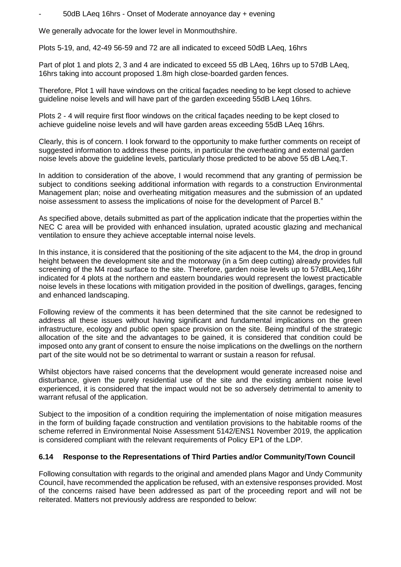- 50dB LAeq 16hrs - Onset of Moderate annoyance day + evening

We generally advocate for the lower level in Monmouthshire.

Plots 5-19, and, 42-49 56-59 and 72 are all indicated to exceed 50dB LAeq, 16hrs

Part of plot 1 and plots 2, 3 and 4 are indicated to exceed 55 dB LAeq, 16hrs up to 57dB LAeq, 16hrs taking into account proposed 1.8m high close-boarded garden fences.

Therefore, Plot 1 will have windows on the critical façades needing to be kept closed to achieve guideline noise levels and will have part of the garden exceeding 55dB LAeq 16hrs.

Plots 2 - 4 will require first floor windows on the critical façades needing to be kept closed to achieve guideline noise levels and will have garden areas exceeding 55dB LAeq 16hrs.

Clearly, this is of concern. I look forward to the opportunity to make further comments on receipt of suggested information to address these points, in particular the overheating and external garden noise levels above the guideline levels, particularly those predicted to be above 55 dB LAeq,T.

In addition to consideration of the above, I would recommend that any granting of permission be subject to conditions seeking additional information with regards to a construction Environmental Management plan; noise and overheating mitigation measures and the submission of an updated noise assessment to assess the implications of noise for the development of Parcel B."

As specified above, details submitted as part of the application indicate that the properties within the NEC C area will be provided with enhanced insulation, uprated acoustic glazing and mechanical ventilation to ensure they achieve acceptable internal noise levels.

In this instance, it is considered that the positioning of the site adjacent to the M4, the drop in ground height between the development site and the motorway (in a 5m deep cutting) already provides full screening of the M4 road surface to the site. Therefore, garden noise levels up to 57dBLAeq,16hr indicated for 4 plots at the northern and eastern boundaries would represent the lowest practicable noise levels in these locations with mitigation provided in the position of dwellings, garages, fencing and enhanced landscaping.

Following review of the comments it has been determined that the site cannot be redesigned to address all these issues without having significant and fundamental implications on the green infrastructure, ecology and public open space provision on the site. Being mindful of the strategic allocation of the site and the advantages to be gained, it is considered that condition could be imposed onto any grant of consent to ensure the noise implications on the dwellings on the northern part of the site would not be so detrimental to warrant or sustain a reason for refusal.

Whilst objectors have raised concerns that the development would generate increased noise and disturbance, given the purely residential use of the site and the existing ambient noise level experienced, it is considered that the impact would not be so adversely detrimental to amenity to warrant refusal of the application.

Subject to the imposition of a condition requiring the implementation of noise mitigation measures in the form of building façade construction and ventilation provisions to the habitable rooms of the scheme referred in Environmental Noise Assessment 5142/ENS1 November 2019, the application is considered compliant with the relevant requirements of Policy EP1 of the LDP.

### **6.14 Response to the Representations of Third Parties and/or Community/Town Council**

Following consultation with regards to the original and amended plans Magor and Undy Community Council, have recommended the application be refused, with an extensive responses provided. Most of the concerns raised have been addressed as part of the proceeding report and will not be reiterated. Matters not previously address are responded to below: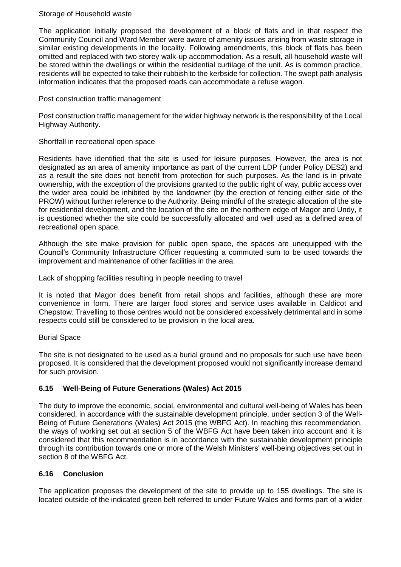### Storage of Household waste

The application initially proposed the development of a block of flats and in that respect the Community Council and Ward Member were aware of amenity issues arising from waste storage in similar existing developments in the locality. Following amendments, this block of flats has been omitted and replaced with two storey walk-up accommodation. As a result, all household waste will be stored within the dwellings or within the residential curtilage of the unit. As is common practice, residents will be expected to take their rubbish to the kerbside for collection. The swept path analysis information indicates that the proposed roads can accommodate a refuse wagon.

### Post construction traffic management

Post construction traffic management for the wider highway network is the responsibility of the Local Highway Authority.

### Shortfall in recreational open space

Residents have identified that the site is used for leisure purposes. However, the area is not designated as an area of amenity importance as part of the current LDP (under Policy DES2) and as a result the site does not benefit from protection for such purposes. As the land is in private ownership, with the exception of the provisions granted to the public right of way, public access over the wider area could be inhibited by the landowner (by the erection of fencing either side of the PROW) without further reference to the Authority. Being mindful of the strategic allocation of the site for residential development, and the location of the site on the northern edge of Magor and Undy, it is questioned whether the site could be successfully allocated and well used as a defined area of recreational open space.

Although the site make provision for public open space, the spaces are unequipped with the Council's Community Infrastructure Officer requesting a commuted sum to be used towards the improvement and maintenance of other facilities in the area.

Lack of shopping facilities resulting in people needing to travel

It is noted that Magor does benefit from retail shops and facilities, although these are more convenience in form. There are larger food stores and service uses available in Caldicot and Chepstow. Travelling to those centres would not be considered excessively detrimental and in some respects could still be considered to be provision in the local area.

### Burial Space

The site is not designated to be used as a burial ground and no proposals for such use have been proposed. It is considered that the development proposed would not significantly increase demand for such provision.

### **6.15 Well-Being of Future Generations (Wales) Act 2015**

The duty to improve the economic, social, environmental and cultural well-being of Wales has been considered, in accordance with the sustainable development principle, under section 3 of the Well-Being of Future Generations (Wales) Act 2015 (the WBFG Act). In reaching this recommendation, the ways of working set out at section 5 of the WBFG Act have been taken into account and it is considered that this recommendation is in accordance with the sustainable development principle through its contribution towards one or more of the Welsh Ministers' well-being objectives set out in section 8 of the WBFG Act.

### **6.16 Conclusion**

The application proposes the development of the site to provide up to 155 dwellings. The site is located outside of the indicated green belt referred to under Future Wales and forms part of a wider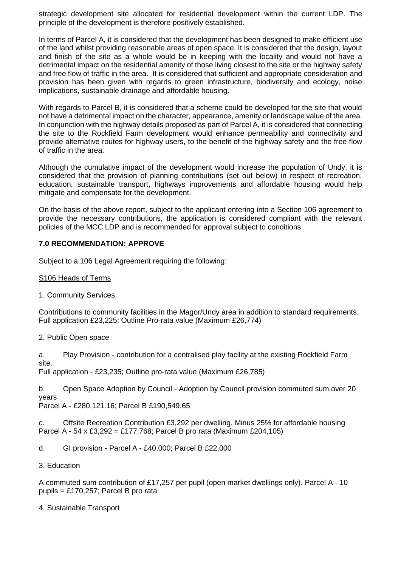strategic development site allocated for residential development within the current LDP. The principle of the development is therefore positively established.

In terms of Parcel A, it is considered that the development has been designed to make efficient use of the land whilst providing reasonable areas of open space. It is considered that the design, layout and finish of the site as a whole would be in keeping with the locality and would not have a detrimental impact on the residential amenity of those living closest to the site or the highway safety and free flow of traffic in the area. It is considered that sufficient and appropriate consideration and provision has been given with regards to green infrastructure, biodiversity and ecology, noise implications, sustainable drainage and affordable housing.

With regards to Parcel B, it is considered that a scheme could be developed for the site that would not have a detrimental impact on the character, appearance, amenity or landscape value of the area. In conjunction with the highway details proposed as part of Parcel A, it is considered that connecting the site to the Rockfield Farm development would enhance permeability and connectivity and provide alternative routes for highway users, to the benefit of the highway safety and the free flow of traffic in the area.

Although the cumulative impact of the development would increase the population of Undy, it is considered that the provision of planning contributions (set out below) in respect of recreation, education, sustainable transport, highways improvements and affordable housing would help mitigate and compensate for the development.

On the basis of the above report, subject to the applicant entering into a Section 106 agreement to provide the necessary contributions, the application is considered compliant with the relevant policies of the MCC LDP and is recommended for approval subject to conditions.

## **7.0 RECOMMENDATION: APPROVE**

Subject to a 106 Legal Agreement requiring the following:

### S106 Heads of Terms

1. Community Services.

Contributions to community facilities in the Magor/Undy area in addition to standard requirements. Full application £23,225; Outline Pro-rata value (Maximum £26,774)

2. Public Open space

a. Play Provision - contribution for a centralised play facility at the existing Rockfield Farm site.

Full application - £23,235; Outline pro-rata value (Maximum £26,785)

b. Open Space Adoption by Council - Adoption by Council provision commuted sum over 20 years

Parcel A - £280,121.16; Parcel B £190,549.65

c. Offsite Recreation Contribution £3,292 per dwelling. Minus 25% for affordable housing Parcel A - 54 x £3,292 = £177,768; Parcel B pro rata (Maximum £204,105)

d. GI provision - Parcel A - £40,000; Parcel B £22,000

3. Education

A commuted sum contribution of £17,257 per pupil (open market dwellings only). Parcel A - 10 pupils =  $£170.257$ : Parcel B pro rata

4. Sustainable Transport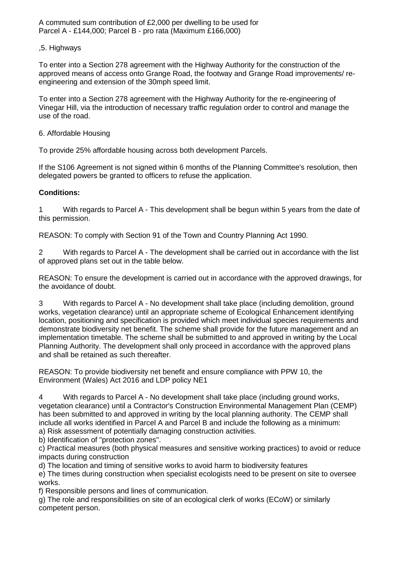A commuted sum contribution of £2,000 per dwelling to be used for Parcel A - £144,000; Parcel B - pro rata (Maximum £166,000)

### ,5. Highways

To enter into a Section 278 agreement with the Highway Authority for the construction of the approved means of access onto Grange Road, the footway and Grange Road improvements/ reengineering and extension of the 30mph speed limit.

To enter into a Section 278 agreement with the Highway Authority for the re-engineering of Vinegar Hill, via the introduction of necessary traffic regulation order to control and manage the use of the road.

### 6. Affordable Housing

To provide 25% affordable housing across both development Parcels.

If the S106 Agreement is not signed within 6 months of the Planning Committee's resolution, then delegated powers be granted to officers to refuse the application.

### **Conditions:**

1 With regards to Parcel A - This development shall be begun within 5 years from the date of this permission.

REASON: To comply with Section 91 of the Town and Country Planning Act 1990.

2 With regards to Parcel A - The development shall be carried out in accordance with the list of approved plans set out in the table below.

REASON: To ensure the development is carried out in accordance with the approved drawings, for the avoidance of doubt.

3 With regards to Parcel A - No development shall take place (including demolition, ground works, vegetation clearance) until an appropriate scheme of Ecological Enhancement identifying location, positioning and specification is provided which meet individual species requirements and demonstrate biodiversity net benefit. The scheme shall provide for the future management and an implementation timetable. The scheme shall be submitted to and approved in writing by the Local Planning Authority. The development shall only proceed in accordance with the approved plans and shall be retained as such thereafter.

REASON: To provide biodiversity net benefit and ensure compliance with PPW 10, the Environment (Wales) Act 2016 and LDP policy NE1

4 With regards to Parcel A - No development shall take place (including ground works, vegetation clearance) until a Contractor's Construction Environmental Management Plan (CEMP) has been submitted to and approved in writing by the local planning authority. The CEMP shall include all works identified in Parcel A and Parcel B and include the following as a minimum:

a) Risk assessment of potentially damaging construction activities.

b) Identification of "protection zones".

c) Practical measures (both physical measures and sensitive working practices) to avoid or reduce impacts during construction

d) The location and timing of sensitive works to avoid harm to biodiversity features

e) The times during construction when specialist ecologists need to be present on site to oversee works.

f) Responsible persons and lines of communication.

g) The role and responsibilities on site of an ecological clerk of works (ECoW) or similarly competent person.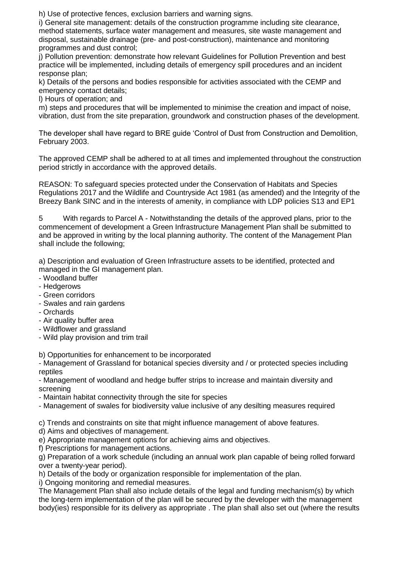h) Use of protective fences, exclusion barriers and warning signs.

i) General site management: details of the construction programme including site clearance, method statements, surface water management and measures, site waste management and disposal, sustainable drainage (pre- and post-construction), maintenance and monitoring programmes and dust control;

j) Pollution prevention: demonstrate how relevant Guidelines for Pollution Prevention and best practice will be implemented, including details of emergency spill procedures and an incident response plan;

k) Details of the persons and bodies responsible for activities associated with the CEMP and emergency contact details;

l) Hours of operation; and

m) steps and procedures that will be implemented to minimise the creation and impact of noise, vibration, dust from the site preparation, groundwork and construction phases of the development.

The developer shall have regard to BRE guide 'Control of Dust from Construction and Demolition, February 2003.

The approved CEMP shall be adhered to at all times and implemented throughout the construction period strictly in accordance with the approved details.

REASON: To safeguard species protected under the Conservation of Habitats and Species Regulations 2017 and the Wildlife and Countryside Act 1981 (as amended) and the Integrity of the Breezy Bank SINC and in the interests of amenity, in compliance with LDP policies S13 and EP1

5 With regards to Parcel A - Notwithstanding the details of the approved plans, prior to the commencement of development a Green Infrastructure Management Plan shall be submitted to and be approved in writing by the local planning authority. The content of the Management Plan shall include the following;

a) Description and evaluation of Green Infrastructure assets to be identified, protected and managed in the GI management plan.

- Woodland buffer
- Hedgerows
- Green corridors
- Swales and rain gardens
- Orchards
- Air quality buffer area
- Wildflower and grassland
- Wild play provision and trim trail

b) Opportunities for enhancement to be incorporated

- Management of Grassland for botanical species diversity and / or protected species including reptiles

- Management of woodland and hedge buffer strips to increase and maintain diversity and screening

- Maintain habitat connectivity through the site for species

- Management of swales for biodiversity value inclusive of any desilting measures required

c) Trends and constraints on site that might influence management of above features.

d) Aims and objectives of management.

e) Appropriate management options for achieving aims and objectives.

f) Prescriptions for management actions.

g) Preparation of a work schedule (including an annual work plan capable of being rolled forward over a twenty-year period).

h) Details of the body or organization responsible for implementation of the plan.

i) Ongoing monitoring and remedial measures.

The Management Plan shall also include details of the legal and funding mechanism(s) by which the long-term implementation of the plan will be secured by the developer with the management body(ies) responsible for its delivery as appropriate . The plan shall also set out (where the results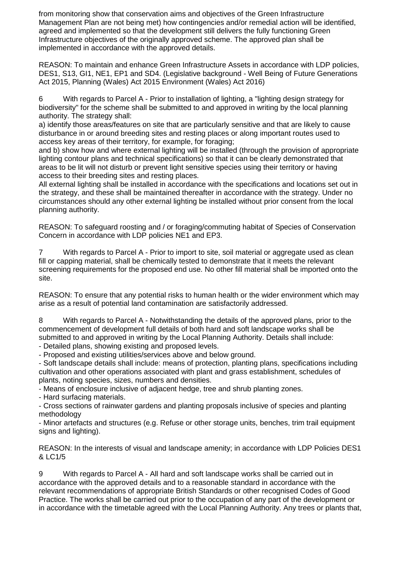from monitoring show that conservation aims and objectives of the Green Infrastructure Management Plan are not being met) how contingencies and/or remedial action will be identified, agreed and implemented so that the development still delivers the fully functioning Green Infrastructure objectives of the originally approved scheme. The approved plan shall be implemented in accordance with the approved details.

REASON: To maintain and enhance Green Infrastructure Assets in accordance with LDP policies, DES1, S13, GI1, NE1, EP1 and SD4. (Legislative background - Well Being of Future Generations Act 2015, Planning (Wales) Act 2015 Environment (Wales) Act 2016)

6 With regards to Parcel A - Prior to installation of lighting, a "lighting design strategy for biodiversity" for the scheme shall be submitted to and approved in writing by the local planning authority. The strategy shall:

a) identify those areas/features on site that are particularly sensitive and that are likely to cause disturbance in or around breeding sites and resting places or along important routes used to access key areas of their territory, for example, for foraging;

and b) show how and where external lighting will be installed (through the provision of appropriate lighting contour plans and technical specifications) so that it can be clearly demonstrated that areas to be lit will not disturb or prevent light sensitive species using their territory or having access to their breeding sites and resting places.

All external lighting shall be installed in accordance with the specifications and locations set out in the strategy, and these shall be maintained thereafter in accordance with the strategy. Under no circumstances should any other external lighting be installed without prior consent from the local planning authority.

REASON: To safeguard roosting and / or foraging/commuting habitat of Species of Conservation Concern in accordance with LDP policies NE1 and EP3.

7 With regards to Parcel A - Prior to import to site, soil material or aggregate used as clean fill or capping material, shall be chemically tested to demonstrate that it meets the relevant screening requirements for the proposed end use. No other fill material shall be imported onto the site.

REASON: To ensure that any potential risks to human health or the wider environment which may arise as a result of potential land contamination are satisfactorily addressed.

8 With regards to Parcel A - Notwithstanding the details of the approved plans, prior to the commencement of development full details of both hard and soft landscape works shall be submitted to and approved in writing by the Local Planning Authority. Details shall include:

- Detailed plans, showing existing and proposed levels.

- Proposed and existing utilities/services above and below ground.

- Soft landscape details shall include: means of protection, planting plans, specifications including cultivation and other operations associated with plant and grass establishment, schedules of plants, noting species, sizes, numbers and densities.

- Means of enclosure inclusive of adjacent hedge, tree and shrub planting zones.

- Hard surfacing materials.

- Cross sections of rainwater gardens and planting proposals inclusive of species and planting methodology

- Minor artefacts and structures (e.g. Refuse or other storage units, benches, trim trail equipment signs and lighting).

REASON: In the interests of visual and landscape amenity; in accordance with LDP Policies DES1 & LC1/5

9 With regards to Parcel A - All hard and soft landscape works shall be carried out in accordance with the approved details and to a reasonable standard in accordance with the relevant recommendations of appropriate British Standards or other recognised Codes of Good Practice. The works shall be carried out prior to the occupation of any part of the development or in accordance with the timetable agreed with the Local Planning Authority. Any trees or plants that,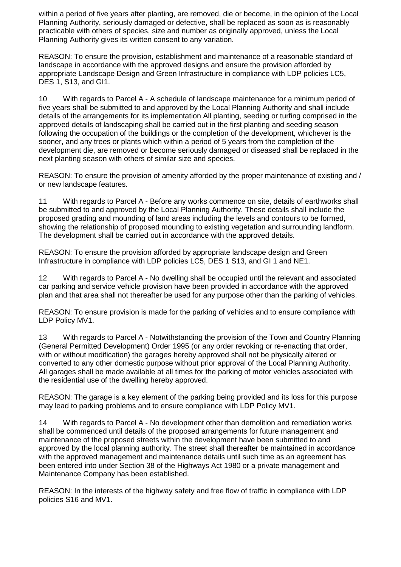within a period of five years after planting, are removed, die or become, in the opinion of the Local Planning Authority, seriously damaged or defective, shall be replaced as soon as is reasonably practicable with others of species, size and number as originally approved, unless the Local Planning Authority gives its written consent to any variation.

REASON: To ensure the provision, establishment and maintenance of a reasonable standard of landscape in accordance with the approved designs and ensure the provision afforded by appropriate Landscape Design and Green Infrastructure in compliance with LDP policies LC5, DES 1, S13, and GI1.

10 With regards to Parcel A - A schedule of landscape maintenance for a minimum period of five years shall be submitted to and approved by the Local Planning Authority and shall include details of the arrangements for its implementation All planting, seeding or turfing comprised in the approved details of landscaping shall be carried out in the first planting and seeding season following the occupation of the buildings or the completion of the development, whichever is the sooner, and any trees or plants which within a period of 5 years from the completion of the development die, are removed or become seriously damaged or diseased shall be replaced in the next planting season with others of similar size and species.

REASON: To ensure the provision of amenity afforded by the proper maintenance of existing and / or new landscape features.

11 With regards to Parcel A - Before any works commence on site, details of earthworks shall be submitted to and approved by the Local Planning Authority. These details shall include the proposed grading and mounding of land areas including the levels and contours to be formed, showing the relationship of proposed mounding to existing vegetation and surrounding landform. The development shall be carried out in accordance with the approved details.

REASON: To ensure the provision afforded by appropriate landscape design and Green Infrastructure in compliance with LDP policies LC5, DES 1 S13, and GI 1 and NE1.

12 With regards to Parcel A - No dwelling shall be occupied until the relevant and associated car parking and service vehicle provision have been provided in accordance with the approved plan and that area shall not thereafter be used for any purpose other than the parking of vehicles.

REASON: To ensure provision is made for the parking of vehicles and to ensure compliance with LDP Policy MV1.

13 With regards to Parcel A - Notwithstanding the provision of the Town and Country Planning (General Permitted Development) Order 1995 (or any order revoking or re-enacting that order, with or without modification) the garages hereby approved shall not be physically altered or converted to any other domestic purpose without prior approval of the Local Planning Authority. All garages shall be made available at all times for the parking of motor vehicles associated with the residential use of the dwelling hereby approved.

REASON: The garage is a key element of the parking being provided and its loss for this purpose may lead to parking problems and to ensure compliance with LDP Policy MV1.

14 With regards to Parcel A - No development other than demolition and remediation works shall be commenced until details of the proposed arrangements for future management and maintenance of the proposed streets within the development have been submitted to and approved by the local planning authority. The street shall thereafter be maintained in accordance with the approved management and maintenance details until such time as an agreement has been entered into under Section 38 of the Highways Act 1980 or a private management and Maintenance Company has been established.

REASON: In the interests of the highway safety and free flow of traffic in compliance with LDP policies S16 and MV1.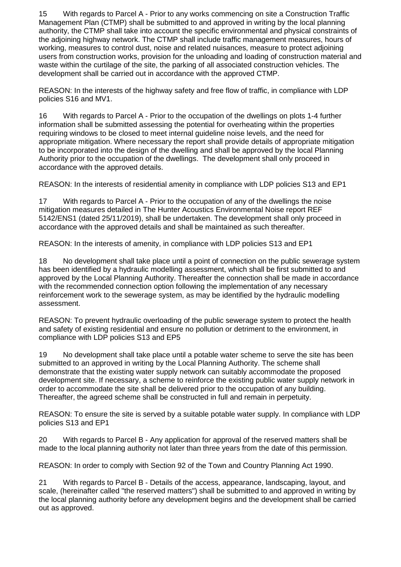15 With regards to Parcel A - Prior to any works commencing on site a Construction Traffic Management Plan (CTMP) shall be submitted to and approved in writing by the local planning authority, the CTMP shall take into account the specific environmental and physical constraints of the adjoining highway network. The CTMP shall include traffic management measures, hours of working, measures to control dust, noise and related nuisances, measure to protect adjoining users from construction works, provision for the unloading and loading of construction material and waste within the curtilage of the site, the parking of all associated construction vehicles. The development shall be carried out in accordance with the approved CTMP.

REASON: In the interests of the highway safety and free flow of traffic, in compliance with LDP policies S16 and MV1.

16 With regards to Parcel A - Prior to the occupation of the dwellings on plots 1-4 further information shall be submitted assessing the potential for overheating within the properties requiring windows to be closed to meet internal guideline noise levels, and the need for appropriate mitigation. Where necessary the report shall provide details of appropriate mitigation to be incorporated into the design of the dwelling and shall be approved by the local Planning Authority prior to the occupation of the dwellings. The development shall only proceed in accordance with the approved details.

REASON: In the interests of residential amenity in compliance with LDP policies S13 and EP1

17 With regards to Parcel A - Prior to the occupation of any of the dwellings the noise mitigation measures detailed in The Hunter Acoustics Environmental Noise report REF 5142/ENS1 (dated 25/11/2019), shall be undertaken. The development shall only proceed in accordance with the approved details and shall be maintained as such thereafter.

REASON: In the interests of amenity, in compliance with LDP policies S13 and EP1

18 No development shall take place until a point of connection on the public sewerage system has been identified by a hydraulic modelling assessment, which shall be first submitted to and approved by the Local Planning Authority. Thereafter the connection shall be made in accordance with the recommended connection option following the implementation of any necessary reinforcement work to the sewerage system, as may be identified by the hydraulic modelling assessment.

REASON: To prevent hydraulic overloading of the public sewerage system to protect the health and safety of existing residential and ensure no pollution or detriment to the environment, in compliance with LDP policies S13 and EP5

19 No development shall take place until a potable water scheme to serve the site has been submitted to an approved in writing by the Local Planning Authority. The scheme shall demonstrate that the existing water supply network can suitably accommodate the proposed development site. If necessary, a scheme to reinforce the existing public water supply network in order to accommodate the site shall be delivered prior to the occupation of any building. Thereafter, the agreed scheme shall be constructed in full and remain in perpetuity.

REASON: To ensure the site is served by a suitable potable water supply. In compliance with LDP policies S13 and EP1

20 With regards to Parcel B - Any application for approval of the reserved matters shall be made to the local planning authority not later than three years from the date of this permission.

REASON: In order to comply with Section 92 of the Town and Country Planning Act 1990.

21 With regards to Parcel B - Details of the access, appearance, landscaping, layout, and scale, (hereinafter called "the reserved matters") shall be submitted to and approved in writing by the local planning authority before any development begins and the development shall be carried out as approved.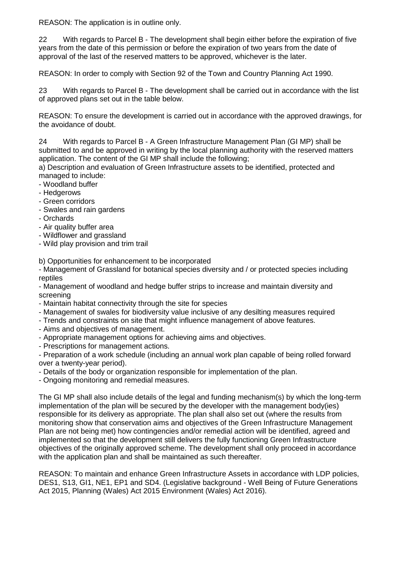REASON: The application is in outline only.

22 With regards to Parcel B - The development shall begin either before the expiration of five years from the date of this permission or before the expiration of two years from the date of approval of the last of the reserved matters to be approved, whichever is the later.

REASON: In order to comply with Section 92 of the Town and Country Planning Act 1990.

23 With regards to Parcel B - The development shall be carried out in accordance with the list of approved plans set out in the table below.

REASON: To ensure the development is carried out in accordance with the approved drawings, for the avoidance of doubt.

24 With regards to Parcel B - A Green Infrastructure Management Plan (GI MP) shall be submitted to and be approved in writing by the local planning authority with the reserved matters application. The content of the GI MP shall include the following;

a) Description and evaluation of Green Infrastructure assets to be identified, protected and managed to include:

- Woodland buffer
- Hedgerows
- Green corridors
- Swales and rain gardens
- Orchards
- Air quality buffer area
- Wildflower and grassland
- Wild play provision and trim trail

b) Opportunities for enhancement to be incorporated

- Management of Grassland for botanical species diversity and / or protected species including reptiles

- Management of woodland and hedge buffer strips to increase and maintain diversity and screening

- Maintain habitat connectivity through the site for species
- Management of swales for biodiversity value inclusive of any desilting measures required
- Trends and constraints on site that might influence management of above features.
- Aims and objectives of management.
- Appropriate management options for achieving aims and objectives.
- Prescriptions for management actions.

- Preparation of a work schedule (including an annual work plan capable of being rolled forward over a twenty-year period).

- Details of the body or organization responsible for implementation of the plan.
- Ongoing monitoring and remedial measures.

The GI MP shall also include details of the legal and funding mechanism(s) by which the long-term implementation of the plan will be secured by the developer with the management body(ies) responsible for its delivery as appropriate. The plan shall also set out (where the results from monitoring show that conservation aims and objectives of the Green Infrastructure Management Plan are not being met) how contingencies and/or remedial action will be identified, agreed and implemented so that the development still delivers the fully functioning Green Infrastructure objectives of the originally approved scheme. The development shall only proceed in accordance with the application plan and shall be maintained as such thereafter.

REASON: To maintain and enhance Green Infrastructure Assets in accordance with LDP policies, DES1, S13, GI1, NE1, EP1 and SD4. (Legislative background - Well Being of Future Generations Act 2015, Planning (Wales) Act 2015 Environment (Wales) Act 2016).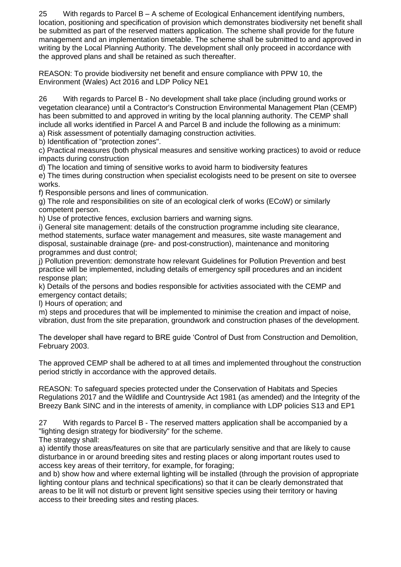25 With regards to Parcel B – A scheme of Ecological Enhancement identifying numbers, location, positioning and specification of provision which demonstrates biodiversity net benefit shall be submitted as part of the reserved matters application. The scheme shall provide for the future management and an implementation timetable. The scheme shall be submitted to and approved in writing by the Local Planning Authority. The development shall only proceed in accordance with the approved plans and shall be retained as such thereafter.

REASON: To provide biodiversity net benefit and ensure compliance with PPW 10, the Environment (Wales) Act 2016 and LDP Policy NE1

26 With regards to Parcel B - No development shall take place (including ground works or vegetation clearance) until a Contractor's Construction Environmental Management Plan (CEMP) has been submitted to and approved in writing by the local planning authority. The CEMP shall include all works identified in Parcel A and Parcel B and include the following as a minimum:

a) Risk assessment of potentially damaging construction activities.

b) Identification of "protection zones".

c) Practical measures (both physical measures and sensitive working practices) to avoid or reduce impacts during construction

d) The location and timing of sensitive works to avoid harm to biodiversity features

e) The times during construction when specialist ecologists need to be present on site to oversee works.

f) Responsible persons and lines of communication.

g) The role and responsibilities on site of an ecological clerk of works (ECoW) or similarly competent person.

h) Use of protective fences, exclusion barriers and warning signs.

i) General site management: details of the construction programme including site clearance, method statements, surface water management and measures, site waste management and disposal, sustainable drainage (pre- and post-construction), maintenance and monitoring programmes and dust control;

j) Pollution prevention: demonstrate how relevant Guidelines for Pollution Prevention and best practice will be implemented, including details of emergency spill procedures and an incident response plan;

k) Details of the persons and bodies responsible for activities associated with the CEMP and emergency contact details;

l) Hours of operation; and

m) steps and procedures that will be implemented to minimise the creation and impact of noise, vibration, dust from the site preparation, groundwork and construction phases of the development.

The developer shall have regard to BRE guide 'Control of Dust from Construction and Demolition, February 2003.

The approved CEMP shall be adhered to at all times and implemented throughout the construction period strictly in accordance with the approved details.

REASON: To safeguard species protected under the Conservation of Habitats and Species Regulations 2017 and the Wildlife and Countryside Act 1981 (as amended) and the Integrity of the Breezy Bank SINC and in the interests of amenity, in compliance with LDP policies S13 and EP1

27 With regards to Parcel B - The reserved matters application shall be accompanied by a "lighting design strategy for biodiversity" for the scheme.

The strategy shall:

a) identify those areas/features on site that are particularly sensitive and that are likely to cause disturbance in or around breeding sites and resting places or along important routes used to access key areas of their territory, for example, for foraging;

and b) show how and where external lighting will be installed (through the provision of appropriate lighting contour plans and technical specifications) so that it can be clearly demonstrated that areas to be lit will not disturb or prevent light sensitive species using their territory or having access to their breeding sites and resting places.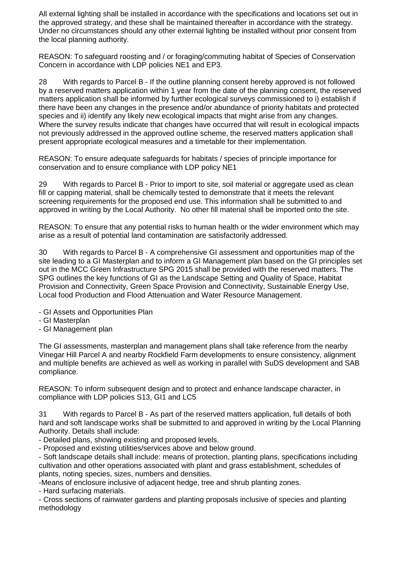All external lighting shall be installed in accordance with the specifications and locations set out in the approved strategy, and these shall be maintained thereafter in accordance with the strategy. Under no circumstances should any other external lighting be installed without prior consent from the local planning authority.

REASON: To safeguard roosting and / or foraging/commuting habitat of Species of Conservation Concern in accordance with LDP policies NE1 and EP3.

28 With regards to Parcel B - If the outline planning consent hereby approved is not followed by a reserved matters application within 1 year from the date of the planning consent, the reserved matters application shall be informed by further ecological surveys commissioned to i) establish if there have been any changes in the presence and/or abundance of priority habitats and protected species and ii) identify any likely new ecological impacts that might arise from any changes. Where the survey results indicate that changes have occurred that will result in ecological impacts not previously addressed in the approved outline scheme, the reserved matters application shall present appropriate ecological measures and a timetable for their implementation.

REASON: To ensure adequate safeguards for habitats / species of principle importance for conservation and to ensure compliance with LDP policy NE1

29 With regards to Parcel B - Prior to import to site, soil material or aggregate used as clean fill or capping material, shall be chemically tested to demonstrate that it meets the relevant screening requirements for the proposed end use. This information shall be submitted to and approved in writing by the Local Authority. No other fill material shall be imported onto the site.

REASON: To ensure that any potential risks to human health or the wider environment which may arise as a result of potential land contamination are satisfactorily addressed.

30 With regards to Parcel B - A comprehensive GI assessment and opportunities map of the site leading to a GI Masterplan and to inform a GI Management plan based on the GI principles set out in the MCC Green Infrastructure SPG 2015 shall be provided with the reserved matters. The SPG outlines the key functions of GI as the Landscape Setting and Quality of Space, Habitat Provision and Connectivity, Green Space Provision and Connectivity, Sustainable Energy Use, Local food Production and Flood Attenuation and Water Resource Management.

- GI Assets and Opportunities Plan
- GI Masterplan
- GI Management plan

The GI assessments, masterplan and management plans shall take reference from the nearby Vinegar Hill Parcel A and nearby Rockfield Farm developments to ensure consistency, alignment and multiple benefits are achieved as well as working in parallel with SuDS development and SAB compliance.

REASON: To inform subsequent design and to protect and enhance landscape character, in compliance with LDP policies S13, GI1 and LC5

31 With regards to Parcel B - As part of the reserved matters application, full details of both hard and soft landscape works shall be submitted to and approved in writing by the Local Planning Authority. Details shall include:

- Detailed plans, showing existing and proposed levels.

- Proposed and existing utilities/services above and below ground.

- Soft landscape details shall include: means of protection, planting plans, specifications including cultivation and other operations associated with plant and grass establishment, schedules of plants, noting species, sizes, numbers and densities.

-Means of enclosure inclusive of adjacent hedge, tree and shrub planting zones.

- Hard surfacing materials.

- Cross sections of rainwater gardens and planting proposals inclusive of species and planting methodology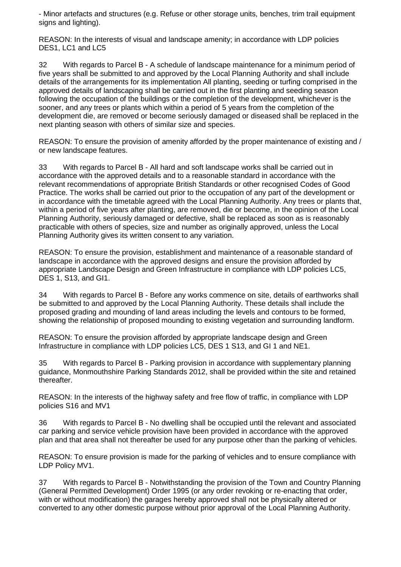- Minor artefacts and structures (e.g. Refuse or other storage units, benches, trim trail equipment signs and lighting).

REASON: In the interests of visual and landscape amenity; in accordance with LDP policies DES1, LC1 and LC5

32 With regards to Parcel B - A schedule of landscape maintenance for a minimum period of five years shall be submitted to and approved by the Local Planning Authority and shall include details of the arrangements for its implementation All planting, seeding or turfing comprised in the approved details of landscaping shall be carried out in the first planting and seeding season following the occupation of the buildings or the completion of the development, whichever is the sooner, and any trees or plants which within a period of 5 years from the completion of the development die, are removed or become seriously damaged or diseased shall be replaced in the next planting season with others of similar size and species.

REASON: To ensure the provision of amenity afforded by the proper maintenance of existing and / or new landscape features.

33 With regards to Parcel B - All hard and soft landscape works shall be carried out in accordance with the approved details and to a reasonable standard in accordance with the relevant recommendations of appropriate British Standards or other recognised Codes of Good Practice. The works shall be carried out prior to the occupation of any part of the development or in accordance with the timetable agreed with the Local Planning Authority. Any trees or plants that, within a period of five years after planting, are removed, die or become, in the opinion of the Local Planning Authority, seriously damaged or defective, shall be replaced as soon as is reasonably practicable with others of species, size and number as originally approved, unless the Local Planning Authority gives its written consent to any variation.

REASON: To ensure the provision, establishment and maintenance of a reasonable standard of landscape in accordance with the approved designs and ensure the provision afforded by appropriate Landscape Design and Green Infrastructure in compliance with LDP policies LC5, DES 1, S13, and GI1.

34 With regards to Parcel B - Before any works commence on site, details of earthworks shall be submitted to and approved by the Local Planning Authority. These details shall include the proposed grading and mounding of land areas including the levels and contours to be formed, showing the relationship of proposed mounding to existing vegetation and surrounding landform.

REASON: To ensure the provision afforded by appropriate landscape design and Green Infrastructure in compliance with LDP policies LC5, DES 1 S13, and GI 1 and NE1.

35 With regards to Parcel B - Parking provision in accordance with supplementary planning guidance, Monmouthshire Parking Standards 2012, shall be provided within the site and retained thereafter.

REASON: In the interests of the highway safety and free flow of traffic, in compliance with LDP policies S16 and MV1

36 With regards to Parcel B - No dwelling shall be occupied until the relevant and associated car parking and service vehicle provision have been provided in accordance with the approved plan and that area shall not thereafter be used for any purpose other than the parking of vehicles.

REASON: To ensure provision is made for the parking of vehicles and to ensure compliance with LDP Policy MV1.

37 With regards to Parcel B - Notwithstanding the provision of the Town and Country Planning (General Permitted Development) Order 1995 (or any order revoking or re-enacting that order, with or without modification) the garages hereby approved shall not be physically altered or converted to any other domestic purpose without prior approval of the Local Planning Authority.